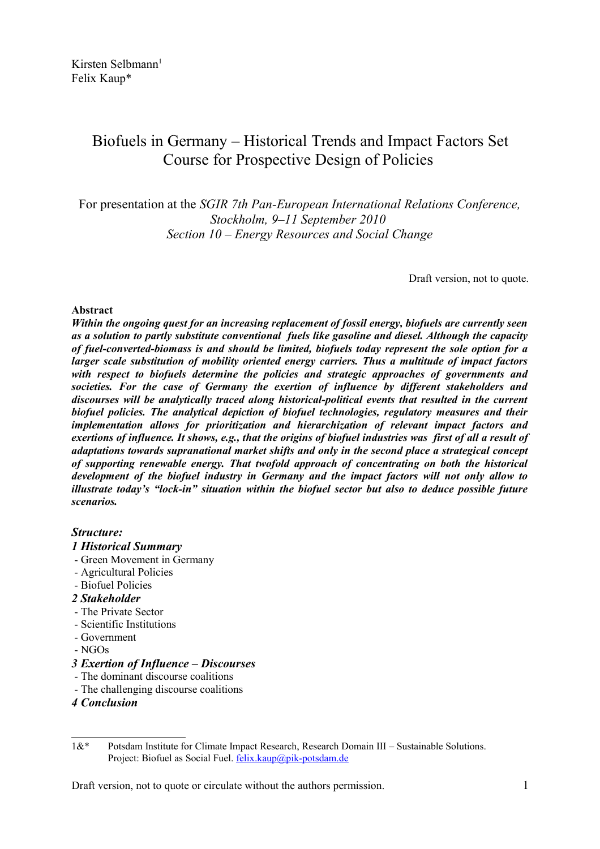# Biofuels in Germany – Historical Trends and Impact Factors Set Course for Prospective Design of Policies

For presentation at the *SGIR 7th Pan-European International Relations Conference, Stockholm, 9–11 September 2010 Section 10 – Energy Resources and Social Change*

Draft version, not to quote.

## **Abstract**

*Within the ongoing quest for an increasing replacement of fossil energy, biofuels are currently seen as a solution to partly substitute conventional fuels like gasoline and diesel. Although the capacity of fuel-converted-biomass is and should be limited, biofuels today represent the sole option for a larger scale substitution of mobility oriented energy carriers. Thus a multitude of impact factors with respect to biofuels determine the policies and strategic approaches of governments and societies. For the case of Germany the exertion of influence by different stakeholders and discourses will be analytically traced along historical-political events that resulted in the current biofuel policies. The analytical depiction of biofuel technologies, regulatory measures and their implementation allows for prioritization and hierarchization of relevant impact factors and exertions of influence. It shows, e.g., that the origins of biofuel industries was first of all a result of adaptations towards supranational market shifts and only in the second place a strategical concept of supporting renewable energy. That twofold approach of concentrating on both the historical development of the biofuel industry in Germany and the impact factors will not only allow to illustrate today's "lock-in" situation within the biofuel sector but also to deduce possible future scenarios.* 

# *Structure:*

#### *1 Historical Summary*

- Green Movement in Germany
- Agricultural Policies
- Biofuel Policies
- *2 Stakeholder*
- The Private Sector
- Scientific Institutions
- Government
- NGOs

# *3 Exertion of Influence – Discourses*

- The dominant discourse coalitions
- The challenging discourse coalitions
- *4 Conclusion*

<span id="page-0-0"></span><sup>1&</sup>amp;\* Potsdam Institute for Climate Impact Research, Research Domain III – Sustainable Solutions. Project: Biofuel as Social Fuel. [felix.kaup@pik-potsdam.de](mailto:felix.kaup@pik-potsdam.de)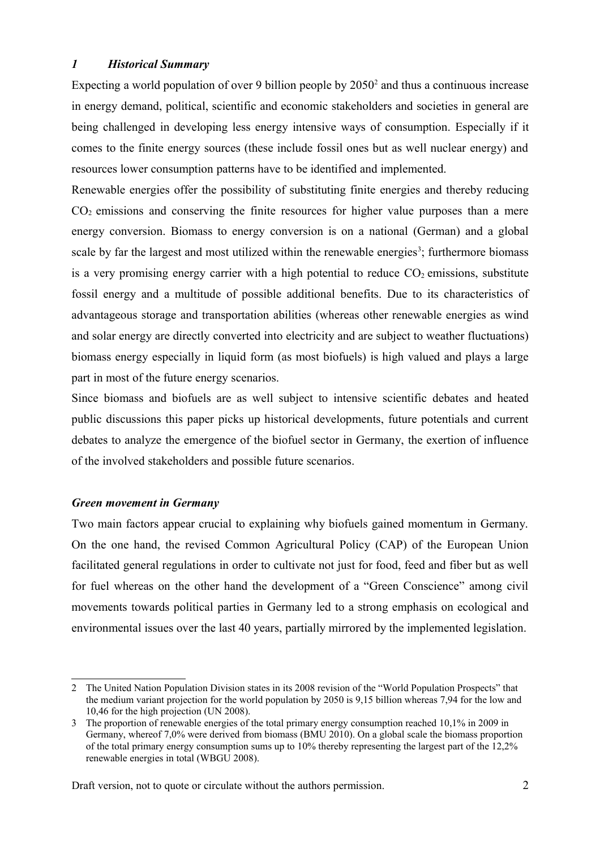# *1 Historical Summary*

Expecting a world population of over 9 billion people by  $2050<sup>2</sup>$  $2050<sup>2</sup>$  and thus a continuous increase in energy demand, political, scientific and economic stakeholders and societies in general are being challenged in developing less energy intensive ways of consumption. Especially if it comes to the finite energy sources (these include fossil ones but as well nuclear energy) and resources lower consumption patterns have to be identified and implemented.

Renewable energies offer the possibility of substituting finite energies and thereby reducing  $CO<sub>2</sub>$  emissions and conserving the finite resources for higher value purposes than a mere energy conversion. Biomass to energy conversion is on a national (German) and a global scale by far the largest and most utilized within the renewable energies<sup>[3](#page-1-1)</sup>; furthermore biomass is a very promising energy carrier with a high potential to reduce  $CO<sub>2</sub>$  emissions, substitute fossil energy and a multitude of possible additional benefits. Due to its characteristics of advantageous storage and transportation abilities (whereas other renewable energies as wind and solar energy are directly converted into electricity and are subject to weather fluctuations) biomass energy especially in liquid form (as most biofuels) is high valued and plays a large part in most of the future energy scenarios.

Since biomass and biofuels are as well subject to intensive scientific debates and heated public discussions this paper picks up historical developments, future potentials and current debates to analyze the emergence of the biofuel sector in Germany, the exertion of influence of the involved stakeholders and possible future scenarios.

# *Green movement in Germany*

Two main factors appear crucial to explaining why biofuels gained momentum in Germany. On the one hand, the revised Common Agricultural Policy (CAP) of the European Union facilitated general regulations in order to cultivate not just for food, feed and fiber but as well for fuel whereas on the other hand the development of a "Green Conscience" among civil movements towards political parties in Germany led to a strong emphasis on ecological and environmental issues over the last 40 years, partially mirrored by the implemented legislation.

<span id="page-1-0"></span><sup>2</sup> The United Nation Population Division states in its 2008 revision of the "World Population Prospects" that the medium variant projection for the world population by 2050 is 9,15 billion whereas 7,94 for the low and 10,46 for the high projection (UN 2008).

<span id="page-1-1"></span><sup>3</sup> The proportion of renewable energies of the total primary energy consumption reached 10,1% in 2009 in Germany, whereof 7,0% were derived from biomass (BMU 2010). On a global scale the biomass proportion of the total primary energy consumption sums up to 10% thereby representing the largest part of the 12,2% renewable energies in total (WBGU 2008).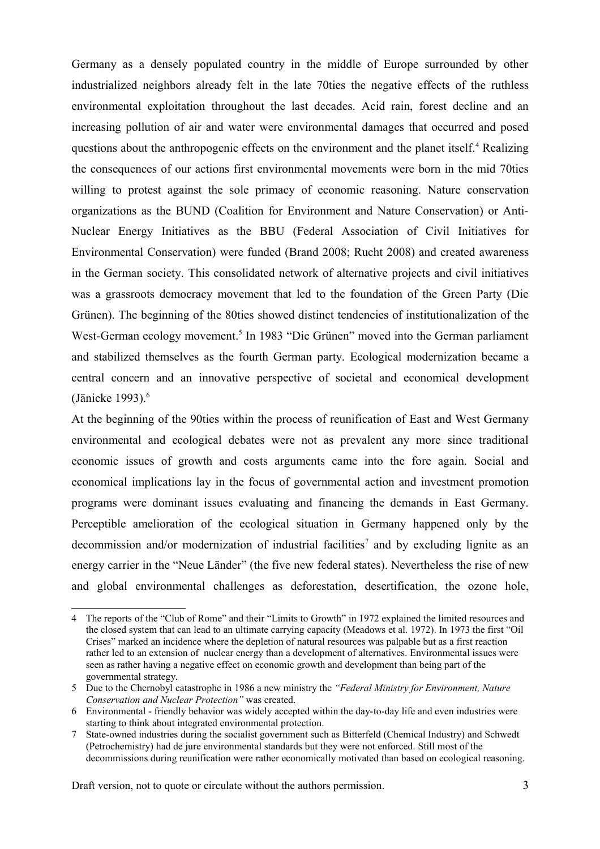Germany as a densely populated country in the middle of Europe surrounded by other industrialized neighbors already felt in the late 70ties the negative effects of the ruthless environmental exploitation throughout the last decades. Acid rain, forest decline and an increasing pollution of air and water were environmental damages that occurred and posed questions about the anthropogenic effects on the environment and the planet itself.<sup>[4](#page-2-0)</sup> Realizing the consequences of our actions first environmental movements were born in the mid 70ties willing to protest against the sole primacy of economic reasoning. Nature conservation organizations as the BUND (Coalition for Environment and Nature Conservation) or Anti-Nuclear Energy Initiatives as the BBU (Federal Association of Civil Initiatives for Environmental Conservation) were funded (Brand 2008; Rucht 2008) and created awareness in the German society. This consolidated network of alternative projects and civil initiatives was a grassroots democracy movement that led to the foundation of the Green Party (Die Grünen). The beginning of the 80ties showed distinct tendencies of institutionalization of the West-German ecology movement.<sup>[5](#page-2-1)</sup> In 1983 "Die Grünen" moved into the German parliament and stabilized themselves as the fourth German party. Ecological modernization became a central concern and an innovative perspective of societal and economical development (Jänicke 1993). $<sup>6</sup>$  $<sup>6</sup>$  $<sup>6</sup>$ </sup>

At the beginning of the 90ties within the process of reunification of East and West Germany environmental and ecological debates were not as prevalent any more since traditional economic issues of growth and costs arguments came into the fore again. Social and economical implications lay in the focus of governmental action and investment promotion programs were dominant issues evaluating and financing the demands in East Germany. Perceptible amelioration of the ecological situation in Germany happened only by the decommission and/or modernization of industrial facilities<sup>[7](#page-2-3)</sup> and by excluding lignite as an energy carrier in the "Neue Länder" (the five new federal states). Nevertheless the rise of new and global environmental challenges as deforestation, desertification, the ozone hole,

<span id="page-2-0"></span><sup>4</sup> The reports of the "Club of Rome" and their "Limits to Growth" in 1972 explained the limited resources and the closed system that can lead to an ultimate carrying capacity (Meadows et al. 1972). In 1973 the first "Oil Crises" marked an incidence where the depletion of natural resources was palpable but as a first reaction rather led to an extension of nuclear energy than a development of alternatives. Environmental issues were seen as rather having a negative effect on economic growth and development than being part of the governmental strategy.

<span id="page-2-1"></span><sup>5</sup> Due to the Chernobyl catastrophe in 1986 a new ministry the *"Federal Ministry for Environment, Nature Conservation and Nuclear Protection"* was created.

<span id="page-2-2"></span><sup>6</sup> Environmental - friendly behavior was widely accepted within the day-to-day life and even industries were starting to think about integrated environmental protection.

<span id="page-2-3"></span><sup>7</sup> State-owned industries during the socialist government such as Bitterfeld (Chemical Industry) and Schwedt (Petrochemistry) had de jure environmental standards but they were not enforced. Still most of the decommissions during reunification were rather economically motivated than based on ecological reasoning.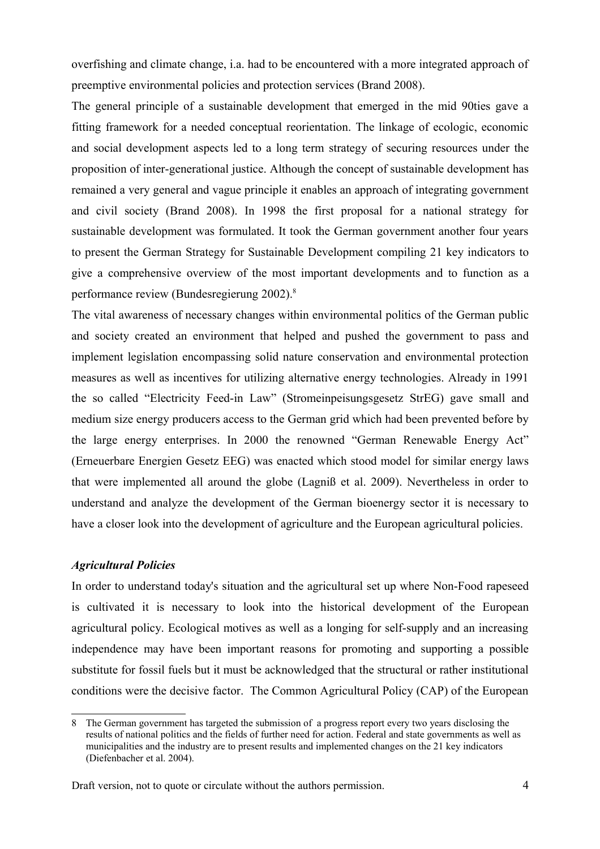overfishing and climate change, i.a. had to be encountered with a more integrated approach of preemptive environmental policies and protection services (Brand 2008).

The general principle of a sustainable development that emerged in the mid 90ties gave a fitting framework for a needed conceptual reorientation. The linkage of ecologic, economic and social development aspects led to a long term strategy of securing resources under the proposition of inter-generational justice. Although the concept of sustainable development has remained a very general and vague principle it enables an approach of integrating government and civil society (Brand 2008). In 1998 the first proposal for a national strategy for sustainable development was formulated. It took the German government another four years to present the German Strategy for Sustainable Development compiling 21 key indicators to give a comprehensive overview of the most important developments and to function as a performance review (Bundesregierung 2002).[8](#page-3-0)

The vital awareness of necessary changes within environmental politics of the German public and society created an environment that helped and pushed the government to pass and implement legislation encompassing solid nature conservation and environmental protection measures as well as incentives for utilizing alternative energy technologies. Already in 1991 the so called "Electricity Feed-in Law" (Stromeinpeisungsgesetz StrEG) gave small and medium size energy producers access to the German grid which had been prevented before by the large energy enterprises. In 2000 the renowned "German Renewable Energy Act" (Erneuerbare Energien Gesetz EEG) was enacted which stood model for similar energy laws that were implemented all around the globe (Lagniß et al. 2009). Nevertheless in order to understand and analyze the development of the German bioenergy sector it is necessary to have a closer look into the development of agriculture and the European agricultural policies.

#### *Agricultural Policies*

In order to understand today's situation and the agricultural set up where Non-Food rapeseed is cultivated it is necessary to look into the historical development of the European agricultural policy. Ecological motives as well as a longing for self-supply and an increasing independence may have been important reasons for promoting and supporting a possible substitute for fossil fuels but it must be acknowledged that the structural or rather institutional conditions were the decisive factor. The Common Agricultural Policy (CAP) of the European

<span id="page-3-0"></span><sup>8</sup> The German government has targeted the submission of a progress report every two years disclosing the results of national politics and the fields of further need for action. Federal and state governments as well as municipalities and the industry are to present results and implemented changes on the 21 key indicators (Diefenbacher et al. 2004).

Draft version, not to quote or circulate without the authors permission. 4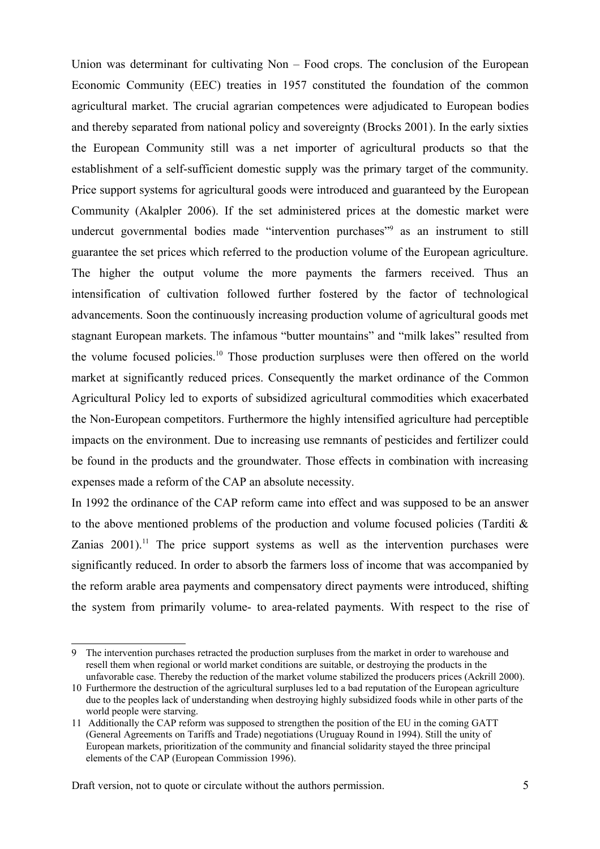Union was determinant for cultivating Non – Food crops. The conclusion of the European Economic Community (EEC) treaties in 1957 constituted the foundation of the common agricultural market. The crucial agrarian competences were adjudicated to European bodies and thereby separated from national policy and sovereignty (Brocks 2001). In the early sixties the European Community still was a net importer of agricultural products so that the establishment of a self-sufficient domestic supply was the primary target of the community. Price support systems for agricultural goods were introduced and guaranteed by the European Community (Akalpler 2006). If the set administered prices at the domestic market were undercut governmental bodies made "intervention purchases"<sup>[9](#page-4-0)</sup> as an instrument to still guarantee the set prices which referred to the production volume of the European agriculture. The higher the output volume the more payments the farmers received. Thus an intensification of cultivation followed further fostered by the factor of technological advancements. Soon the continuously increasing production volume of agricultural goods met stagnant European markets. The infamous "butter mountains" and "milk lakes" resulted from the volume focused policies.[10](#page-4-1) Those production surpluses were then offered on the world market at significantly reduced prices. Consequently the market ordinance of the Common Agricultural Policy led to exports of subsidized agricultural commodities which exacerbated the Non-European competitors. Furthermore the highly intensified agriculture had perceptible impacts on the environment. Due to increasing use remnants of pesticides and fertilizer could be found in the products and the groundwater. Those effects in combination with increasing expenses made a reform of the CAP an absolute necessity.

In 1992 the ordinance of the CAP reform came into effect and was supposed to be an answer to the above mentioned problems of the production and volume focused policies (Tarditi & Zanias  $2001$ .<sup>[11](#page-4-2)</sup> The price support systems as well as the intervention purchases were significantly reduced. In order to absorb the farmers loss of income that was accompanied by the reform arable area payments and compensatory direct payments were introduced, shifting the system from primarily volume- to area-related payments. With respect to the rise of

<span id="page-4-0"></span><sup>9</sup> The intervention purchases retracted the production surpluses from the market in order to warehouse and resell them when regional or world market conditions are suitable, or destroying the products in the unfavorable case. Thereby the reduction of the market volume stabilized the producers prices (Ackrill 2000).

<span id="page-4-1"></span><sup>10</sup> Furthermore the destruction of the agricultural surpluses led to a bad reputation of the European agriculture due to the peoples lack of understanding when destroying highly subsidized foods while in other parts of the world people were starving.

<span id="page-4-2"></span><sup>11</sup> Additionally the CAP reform was supposed to strengthen the position of the EU in the coming GATT (General Agreements on Tariffs and Trade) negotiations (Uruguay Round in 1994). Still the unity of European markets, prioritization of the community and financial solidarity stayed the three principal elements of the CAP (European Commission 1996).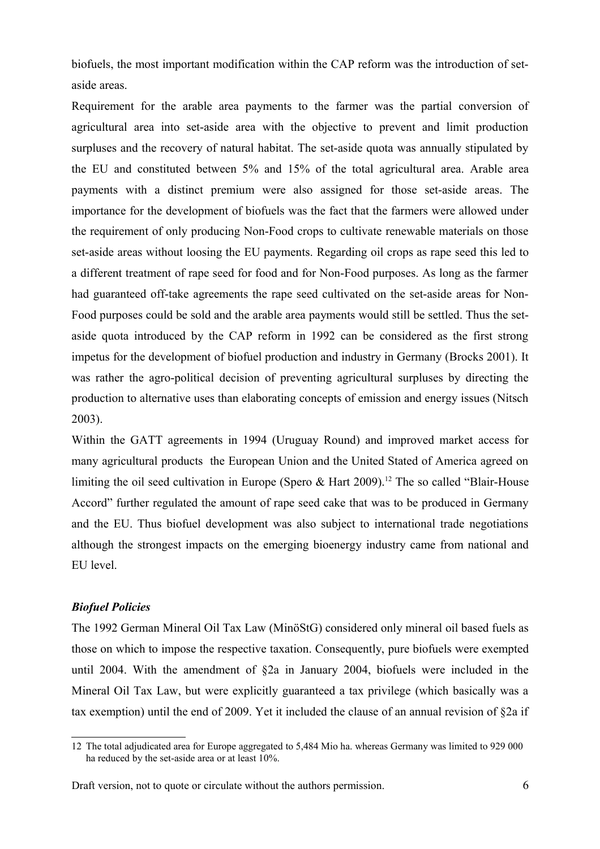biofuels, the most important modification within the CAP reform was the introduction of setaside areas.

Requirement for the arable area payments to the farmer was the partial conversion of agricultural area into set-aside area with the objective to prevent and limit production surpluses and the recovery of natural habitat. The set-aside quota was annually stipulated by the EU and constituted between 5% and 15% of the total agricultural area. Arable area payments with a distinct premium were also assigned for those set-aside areas. The importance for the development of biofuels was the fact that the farmers were allowed under the requirement of only producing Non-Food crops to cultivate renewable materials on those set-aside areas without loosing the EU payments. Regarding oil crops as rape seed this led to a different treatment of rape seed for food and for Non-Food purposes. As long as the farmer had guaranteed off-take agreements the rape seed cultivated on the set-aside areas for Non-Food purposes could be sold and the arable area payments would still be settled. Thus the setaside quota introduced by the CAP reform in 1992 can be considered as the first strong impetus for the development of biofuel production and industry in Germany (Brocks 2001). It was rather the agro-political decision of preventing agricultural surpluses by directing the production to alternative uses than elaborating concepts of emission and energy issues (Nitsch 2003).

Within the GATT agreements in 1994 (Uruguay Round) and improved market access for many agricultural products the European Union and the United Stated of America agreed on limiting the oil seed cultivation in Europe (Spero  $\&$  Hart 2009).<sup>[12](#page-5-0)</sup> The so called "Blair-House" Accord" further regulated the amount of rape seed cake that was to be produced in Germany and the EU. Thus biofuel development was also subject to international trade negotiations although the strongest impacts on the emerging bioenergy industry came from national and EU level.

# *Biofuel Policies*

The 1992 German Mineral Oil Tax Law (MinöStG) considered only mineral oil based fuels as those on which to impose the respective taxation. Consequently, pure biofuels were exempted until 2004. With the amendment of §2a in January 2004, biofuels were included in the Mineral Oil Tax Law, but were explicitly guaranteed a tax privilege (which basically was a tax exemption) until the end of 2009. Yet it included the clause of an annual revision of §2a if

<span id="page-5-0"></span><sup>12</sup> The total adjudicated area for Europe aggregated to 5,484 Mio ha. whereas Germany was limited to 929 000 ha reduced by the set-aside area or at least 10%.

Draft version, not to quote or circulate without the authors permission. 6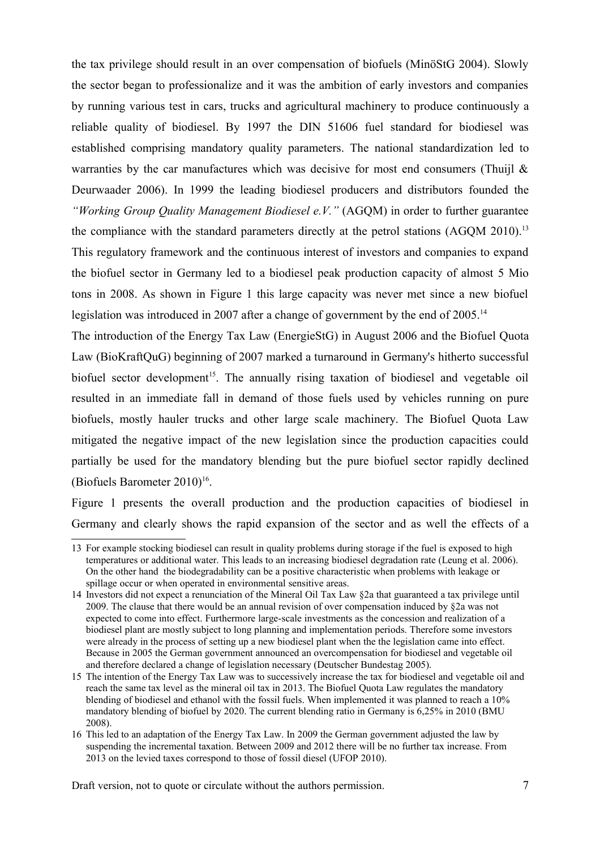the tax privilege should result in an over compensation of biofuels (MinöStG 2004). Slowly the sector began to professionalize and it was the ambition of early investors and companies by running various test in cars, trucks and agricultural machinery to produce continuously a reliable quality of biodiesel. By 1997 the DIN 51606 fuel standard for biodiesel was established comprising mandatory quality parameters. The national standardization led to warranties by the car manufactures which was decisive for most end consumers (Thuijl  $\&$ Deurwaader 2006). In 1999 the leading biodiesel producers and distributors founded the *"Working Group Quality Management Biodiesel e.V."* (AGQM) in order to further guarantee the compliance with the standard parameters directly at the petrol stations  $(AGOM 2010)^{13}$  $(AGOM 2010)^{13}$  $(AGOM 2010)^{13}$ This regulatory framework and the continuous interest of investors and companies to expand the biofuel sector in Germany led to a biodiesel peak production capacity of almost 5 Mio tons in 2008. As shown in Figure 1 this large capacity was never met since a new biofuel legislation was introduced in 2007 after a change of government by the end of 2005.<sup>[14](#page-6-1)</sup>

The introduction of the Energy Tax Law (EnergieStG) in August 2006 and the Biofuel Quota Law (BioKraftQuG) beginning of 2007 marked a turnaround in Germany's hitherto successful biofuel sector development<sup>[15](#page-6-2)</sup>. The annually rising taxation of biodiesel and vegetable oil resulted in an immediate fall in demand of those fuels used by vehicles running on pure biofuels, mostly hauler trucks and other large scale machinery. The Biofuel Quota Law mitigated the negative impact of the new legislation since the production capacities could partially be used for the mandatory blending but the pure biofuel sector rapidly declined (Biofuels Barometer  $2010$ )<sup>[16](#page-6-3)</sup>.

Figure 1 presents the overall production and the production capacities of biodiesel in Germany and clearly shows the rapid expansion of the sector and as well the effects of a

<span id="page-6-0"></span><sup>13</sup> For example stocking biodiesel can result in quality problems during storage if the fuel is exposed to high temperatures or additional water. This leads to an increasing biodiesel degradation rate (Leung et al. 2006). On the other hand the biodegradability can be a positive characteristic when problems with leakage or spillage occur or when operated in environmental sensitive areas.

<span id="page-6-1"></span><sup>14</sup> Investors did not expect a renunciation of the Mineral Oil Tax Law §2a that guaranteed a tax privilege until 2009. The clause that there would be an annual revision of over compensation induced by §2a was not expected to come into effect. Furthermore large-scale investments as the concession and realization of a biodiesel plant are mostly subject to long planning and implementation periods. Therefore some investors were already in the process of setting up a new biodiesel plant when the the legislation came into effect. Because in 2005 the German government announced an overcompensation for biodiesel and vegetable oil and therefore declared a change of legislation necessary (Deutscher Bundestag 2005).

<span id="page-6-2"></span><sup>15</sup> The intention of the Energy Tax Law was to successively increase the tax for biodiesel and vegetable oil and reach the same tax level as the mineral oil tax in 2013. The Biofuel Quota Law regulates the mandatory blending of biodiesel and ethanol with the fossil fuels. When implemented it was planned to reach a 10% mandatory blending of biofuel by 2020. The current blending ratio in Germany is 6,25% in 2010 (BMU 2008).

<span id="page-6-3"></span><sup>16</sup> This led to an adaptation of the Energy Tax Law. In 2009 the German government adjusted the law by suspending the incremental taxation. Between 2009 and 2012 there will be no further tax increase. From 2013 on the levied taxes correspond to those of fossil diesel (UFOP 2010).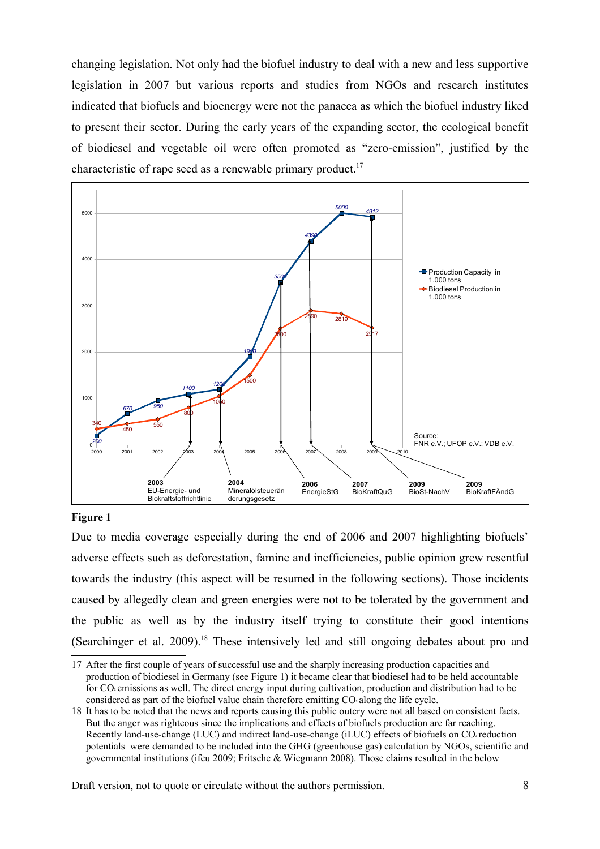changing legislation. Not only had the biofuel industry to deal with a new and less supportive legislation in 2007 but various reports and studies from NGOs and research institutes indicated that biofuels and bioenergy were not the panacea as which the biofuel industry liked to present their sector. During the early years of the expanding sector, the ecological benefit of biodiesel and vegetable oil were often promoted as "zero-emission", justified by the characteristic of rape seed as a renewable primary product.<sup>[17](#page-7-0)</sup>



## **Figure 1**

Due to media coverage especially during the end of 2006 and 2007 highlighting biofuels' adverse effects such as deforestation, famine and inefficiencies, public opinion grew resentful towards the industry (this aspect will be resumed in the following sections). Those incidents caused by allegedly clean and green energies were not to be tolerated by the government and the public as well as by the industry itself trying to constitute their good intentions (Searchinger et al. 2009).[18](#page-7-1) These intensively led and still ongoing debates about pro and

<span id="page-7-0"></span><sup>17</sup> After the first couple of years of successful use and the sharply increasing production capacities and production of biodiesel in Germany (see Figure 1) it became clear that biodiesel had to be held accountable for CO² emissions as well. The direct energy input during cultivation, production and distribution had to be considered as part of the biofuel value chain therefore emitting CO along the life cycle.

<span id="page-7-1"></span><sup>18</sup> It has to be noted that the news and reports causing this public outcry were not all based on consistent facts. But the anger was righteous since the implications and effects of biofuels production are far reaching. Recently land-use-change (LUC) and indirect land-use-change (iLUC) effects of biofuels on CO<sub>2</sub> reduction potentials were demanded to be included into the GHG (greenhouse gas) calculation by NGOs, scientific and governmental institutions (ifeu 2009; Fritsche & Wiegmann 2008). Those claims resulted in the below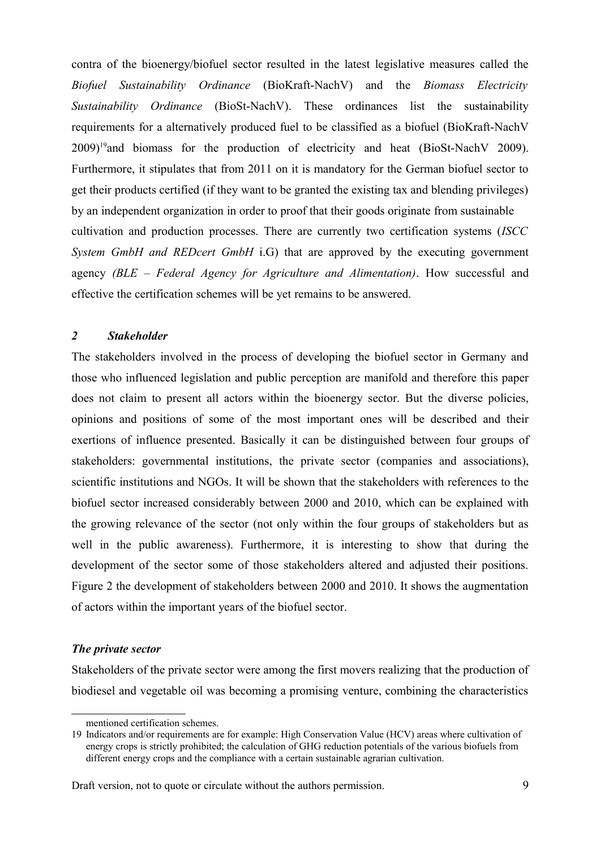contra of the bioenergy/biofuel sector resulted in the latest legislative measures called the *Biofuel Sustainability Ordinance* (BioKraft-NachV) and the *Biomass Electricity Sustainability Ordinance* (BioSt-NachV). These ordinances list the sustainability requirements for a alternatively produced fuel to be classified as a biofuel (BioKraft-NachV 2009)[19](#page-8-0)and biomass for the production of electricity and heat (BioSt-NachV 2009). Furthermore, it stipulates that from 2011 on it is mandatory for the German biofuel sector to get their products certified (if they want to be granted the existing tax and blending privileges) by an independent organization in order to proof that their goods originate from sustainable cultivation and production processes. There are currently two certification systems (*ISCC System GmbH and REDcert GmbH* i.G) that are approved by the executing government agency *(BLE – Federal Agency for Agriculture and Alimentation)*. How successful and effective the certification schemes will be yet remains to be answered.

## *2 Stakeholder*

The stakeholders involved in the process of developing the biofuel sector in Germany and those who influenced legislation and public perception are manifold and therefore this paper does not claim to present all actors within the bioenergy sector. But the diverse policies, opinions and positions of some of the most important ones will be described and their exertions of influence presented. Basically it can be distinguished between four groups of stakeholders: governmental institutions, the private sector (companies and associations), scientific institutions and NGOs. It will be shown that the stakeholders with references to the biofuel sector increased considerably between 2000 and 2010, which can be explained with the growing relevance of the sector (not only within the four groups of stakeholders but as well in the public awareness). Furthermore, it is interesting to show that during the development of the sector some of those stakeholders altered and adjusted their positions. Figure 2 the development of stakeholders between 2000 and 2010. It shows the augmentation of actors within the important years of the biofuel sector.

# *The private sector*

Stakeholders of the private sector were among the first movers realizing that the production of biodiesel and vegetable oil was becoming a promising venture, combining the characteristics

<span id="page-8-0"></span>mentioned certification schemes.

<sup>19</sup> Indicators and/or requirements are for example: High Conservation Value (HCV) areas where cultivation of energy crops is strictly prohibited; the calculation of GHG reduction potentials of the various biofuels from different energy crops and the compliance with a certain sustainable agrarian cultivation.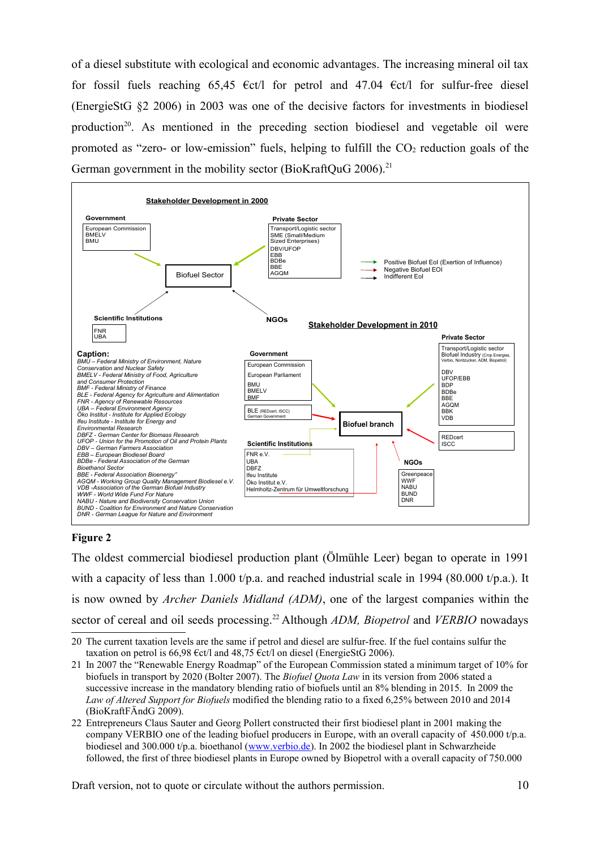of a diesel substitute with ecological and economic advantages. The increasing mineral oil tax for fossil fuels reaching 65,45  $\epsilon$ ct/l for petrol and 47.04  $\epsilon$ ct/l for sulfur-free diesel (EnergieStG §2 2006) in 2003 was one of the decisive factors for investments in biodiesel production<sup>[20](#page-9-0)</sup>. As mentioned in the preceding section biodiesel and vegetable oil were promoted as "zero- or low-emission" fuels, helping to fulfill the  $CO<sub>2</sub>$  reduction goals of the German government in the mobility sector (BioKraftQuG 2006).<sup>[21](#page-9-1)</sup>



# **Figure 2**

The oldest commercial biodiesel production plant (Ölmühle Leer) began to operate in 1991 with a capacity of less than 1.000 t/p.a. and reached industrial scale in 1994 (80.000 t/p.a.). It is now owned by *Archer Daniels Midland (ADM)*, one of the largest companies within the sector of cereal and oil seeds processing.<sup>[22](#page-9-2)</sup> Although *ADM, Biopetrol* and *VERBIO* nowadays

- <span id="page-9-1"></span>21 In 2007 the "Renewable Energy Roadmap" of the European Commission stated a minimum target of 10% for biofuels in transport by 2020 (Bolter 2007). The *Biofuel Quota Law* in its version from 2006 stated a successive increase in the mandatory blending ratio of biofuels until an 8% blending in 2015. In 2009 the *Law of Altered Support for Biofuels* modified the blending ratio to a fixed 6,25% between 2010 and 2014 (BioKraftFÄndG 2009).
- <span id="page-9-2"></span>22 Entrepreneurs Claus Sauter and Georg Pollert constructed their first biodiesel plant in 2001 making the company VERBIO one of the leading biofuel producers in Europe, with an overall capacity of 450.000 t/p.a. biodiesel and 300.000 t/p.a. bioethanol [\(www.verbio.de\)](http://www.verbio.de/). In 2002 the biodiesel plant in Schwarzheide followed, the first of three biodiesel plants in Europe owned by Biopetrol with a overall capacity of 750.000

<span id="page-9-0"></span><sup>20</sup> The current taxation levels are the same if petrol and diesel are sulfur-free. If the fuel contains sulfur the taxation on petrol is 66,98  $\epsilon$ ct/l and 48,75  $\epsilon$ ct/l on diesel (EnergieStG 2006).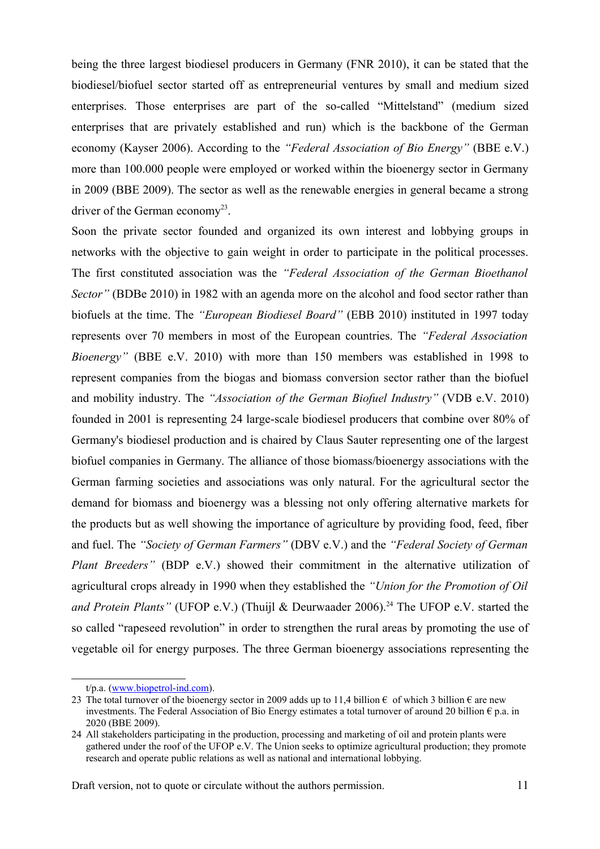being the three largest biodiesel producers in Germany (FNR 2010), it can be stated that the biodiesel/biofuel sector started off as entrepreneurial ventures by small and medium sized enterprises. Those enterprises are part of the so-called "Mittelstand" (medium sized enterprises that are privately established and run) which is the backbone of the German economy (Kayser 2006). According to the *"Federal Association of Bio Energy"* (BBE e.V.) more than 100.000 people were employed or worked within the bioenergy sector in Germany in 2009 (BBE 2009). The sector as well as the renewable energies in general became a strong driver of the German economy<sup>[23](#page-10-0)</sup>.

Soon the private sector founded and organized its own interest and lobbying groups in networks with the objective to gain weight in order to participate in the political processes. The first constituted association was the *"Federal Association of the German Bioethanol Sector*" (BDBe 2010) in 1982 with an agenda more on the alcohol and food sector rather than biofuels at the time. The *"European Biodiesel Board"* (EBB 2010) instituted in 1997 today represents over 70 members in most of the European countries. The *"Federal Association Bioenergy"* (BBE e.V. 2010) with more than 150 members was established in 1998 to represent companies from the biogas and biomass conversion sector rather than the biofuel and mobility industry. The *"Association of the German Biofuel Industry"* (VDB e.V. 2010) founded in 2001 is representing 24 large-scale biodiesel producers that combine over 80% of Germany's biodiesel production and is chaired by Claus Sauter representing one of the largest biofuel companies in Germany. The alliance of those biomass/bioenergy associations with the German farming societies and associations was only natural. For the agricultural sector the demand for biomass and bioenergy was a blessing not only offering alternative markets for the products but as well showing the importance of agriculture by providing food, feed, fiber and fuel. The *"Society of German Farmers"* (DBV e.V.) and the *"Federal Society of German Plant Breeders"* (BDP e.V.) showed their commitment in the alternative utilization of agricultural crops already in 1990 when they established the *"Union for the Promotion of Oil and Protein Plants"* (UFOP e.V.) (Thuijl & Deurwaader 2006).<sup>[24](#page-10-1)</sup> The UFOP e.V. started the so called "rapeseed revolution" in order to strengthen the rural areas by promoting the use of vegetable oil for energy purposes. The three German bioenergy associations representing the

<span id="page-10-0"></span>t/p.a. [\(www.biopetrol-ind.com\)](http://www.biopetrol-ind.com/).

<sup>23</sup> The total turnover of the bioenergy sector in 2009 adds up to 11.4 billion  $\epsilon$  of which 3 billion  $\epsilon$  are new investments. The Federal Association of Bio Energy estimates a total turnover of around 20 billion  $\epsilon$  p.a. in 2020 (BBE 2009).

<span id="page-10-1"></span><sup>24</sup> All stakeholders participating in the production, processing and marketing of oil and protein plants were gathered under the roof of the UFOP e.V. The Union seeks to optimize agricultural production; they promote research and operate public relations as well as national and international lobbying.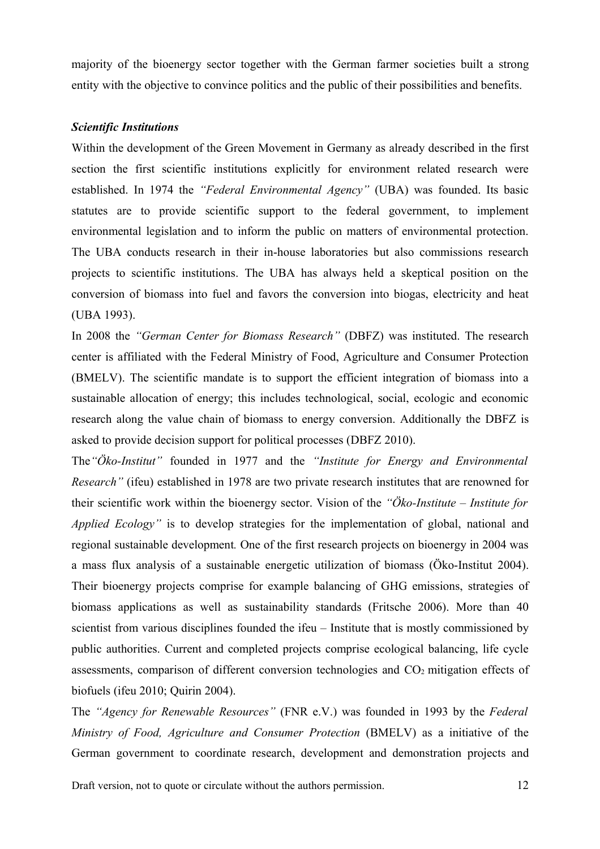majority of the bioenergy sector together with the German farmer societies built a strong entity with the objective to convince politics and the public of their possibilities and benefits.

# *Scientific Institutions*

Within the development of the Green Movement in Germany as already described in the first section the first scientific institutions explicitly for environment related research were established. In 1974 the *"Federal Environmental Agency"* (UBA) was founded. Its basic statutes are to provide scientific support to the federal government, to implement environmental legislation and to inform the public on matters of environmental protection. The UBA conducts research in their in-house laboratories but also commissions research projects to scientific institutions. The UBA has always held a skeptical position on the conversion of biomass into fuel and favors the conversion into biogas, electricity and heat (UBA 1993).

In 2008 the *"German Center for Biomass Research"* (DBFZ) was instituted. The research center is affiliated with the Federal Ministry of Food, Agriculture and Consumer Protection (BMELV). The scientific mandate is to support the efficient integration of biomass into a sustainable allocation of energy; this includes technological, social, ecologic and economic research along the value chain of biomass to energy conversion. Additionally the DBFZ is asked to provide decision support for political processes (DBFZ 2010).

The*"Öko-Institut"* founded in 1977 and the *"Institute for Energy and Environmental Research"* (ifeu) established in 1978 are two private research institutes that are renowned for their scientific work within the bioenergy sector. Vision of the *"Öko-Institute – Institute for Applied Ecology"* is to develop strategies for the implementation of global, national and regional sustainable development*.* One of the first research projects on bioenergy in 2004 was a mass flux analysis of a sustainable energetic utilization of biomass (Öko-Institut 2004). Their bioenergy projects comprise for example balancing of GHG emissions, strategies of biomass applications as well as sustainability standards (Fritsche 2006). More than 40 scientist from various disciplines founded the ifeu – Institute that is mostly commissioned by public authorities. Current and completed projects comprise ecological balancing, life cycle assessments, comparison of different conversion technologies and  $CO<sub>2</sub>$  mitigation effects of biofuels (ifeu 2010; Quirin 2004).

The *"Agency for Renewable Resources"* (FNR e.V.) was founded in 1993 by the *Federal Ministry of Food, Agriculture and Consumer Protection* (BMELV) as a initiative of the German government to coordinate research, development and demonstration projects and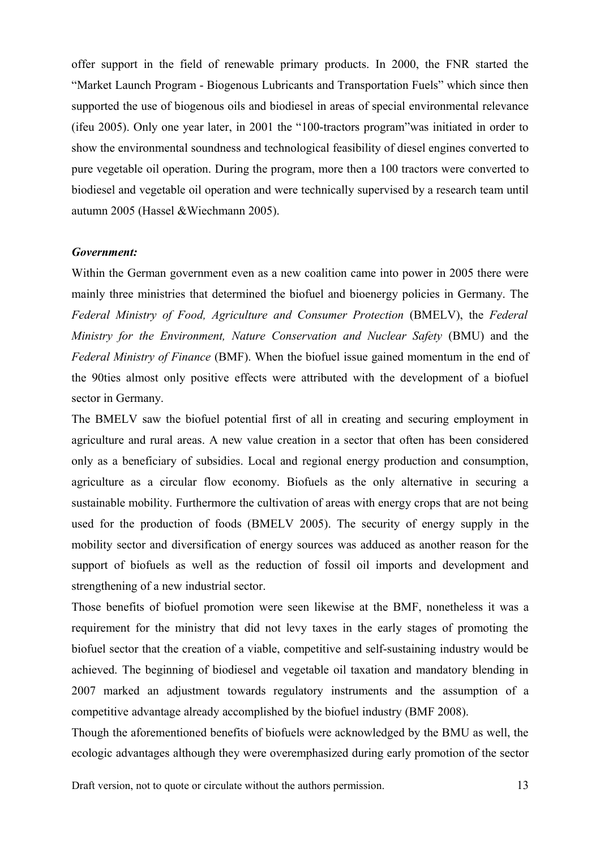offer support in the field of renewable primary products. In 2000, the FNR started the "Market Launch Program - Biogenous Lubricants and Transportation Fuels" which since then supported the use of biogenous oils and biodiesel in areas of special environmental relevance (ifeu 2005). Only one year later, in 2001 the "100-tractors program"was initiated in order to show the environmental soundness and technological feasibility of diesel engines converted to pure vegetable oil operation. During the program, more then a 100 tractors were converted to biodiesel and vegetable oil operation and were technically supervised by a research team until autumn 2005 (Hassel &Wiechmann 2005).

## *Government:*

Within the German government even as a new coalition came into power in 2005 there were mainly three ministries that determined the biofuel and bioenergy policies in Germany. The *Federal Ministry of Food, Agriculture and Consumer Protection* (BMELV), the *Federal Ministry for the Environment, Nature Conservation and Nuclear Safety* (BMU) and the *Federal Ministry of Finance* (BMF). When the biofuel issue gained momentum in the end of the 90ties almost only positive effects were attributed with the development of a biofuel sector in Germany.

The BMELV saw the biofuel potential first of all in creating and securing employment in agriculture and rural areas. A new value creation in a sector that often has been considered only as a beneficiary of subsidies. Local and regional energy production and consumption, agriculture as a circular flow economy. Biofuels as the only alternative in securing a sustainable mobility. Furthermore the cultivation of areas with energy crops that are not being used for the production of foods (BMELV 2005). The security of energy supply in the mobility sector and diversification of energy sources was adduced as another reason for the support of biofuels as well as the reduction of fossil oil imports and development and strengthening of a new industrial sector.

Those benefits of biofuel promotion were seen likewise at the BMF, nonetheless it was a requirement for the ministry that did not levy taxes in the early stages of promoting the biofuel sector that the creation of a viable, competitive and self-sustaining industry would be achieved. The beginning of biodiesel and vegetable oil taxation and mandatory blending in 2007 marked an adjustment towards regulatory instruments and the assumption of a competitive advantage already accomplished by the biofuel industry (BMF 2008).

Though the aforementioned benefits of biofuels were acknowledged by the BMU as well, the ecologic advantages although they were overemphasized during early promotion of the sector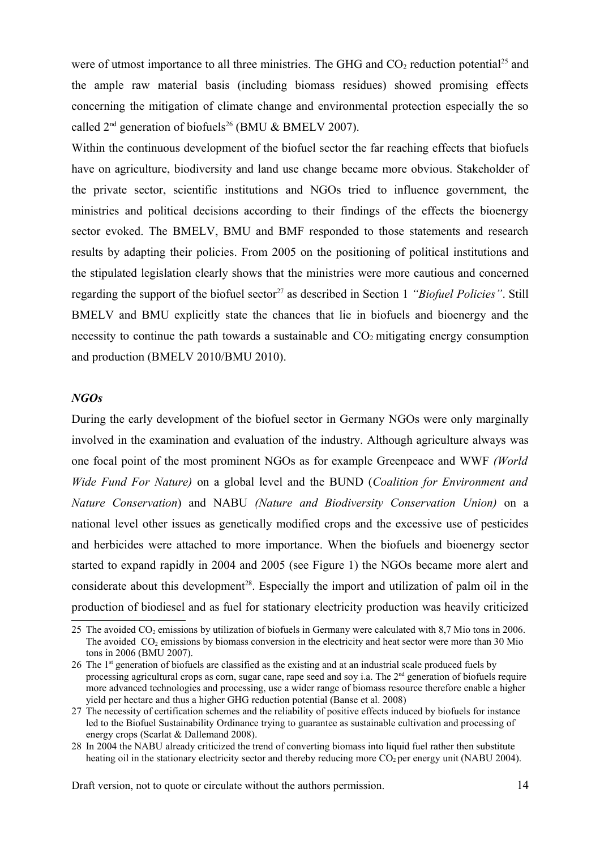were of utmost importance to all three ministries. The GHG and CO<sub>2</sub> reduction potential<sup>[25](#page-13-0)</sup> and the ample raw material basis (including biomass residues) showed promising effects concerning the mitigation of climate change and environmental protection especially the so called  $2<sup>nd</sup>$  generation of biofuels<sup>[26](#page-13-1)</sup> (BMU & BMELV 2007).

Within the continuous development of the biofuel sector the far reaching effects that biofuels have on agriculture, biodiversity and land use change became more obvious. Stakeholder of the private sector, scientific institutions and NGOs tried to influence government, the ministries and political decisions according to their findings of the effects the bioenergy sector evoked. The BMELV, BMU and BMF responded to those statements and research results by adapting their policies. From 2005 on the positioning of political institutions and the stipulated legislation clearly shows that the ministries were more cautious and concerned regarding the support of the biofuel sector<sup>[27](#page-13-2)</sup> as described in Section 1 *"Biofuel Policies"*. Still BMELV and BMU explicitly state the chances that lie in biofuels and bioenergy and the necessity to continue the path towards a sustainable and  $CO<sub>2</sub>$  mitigating energy consumption and production (BMELV 2010/BMU 2010).

#### *NGOs*

During the early development of the biofuel sector in Germany NGOs were only marginally involved in the examination and evaluation of the industry. Although agriculture always was one focal point of the most prominent NGOs as for example Greenpeace and WWF *(World Wide Fund For Nature)* on a global level and the BUND (*Coalition for Environment and Nature Conservation*) and NABU *(Nature and Biodiversity Conservation Union)* on a national level other issues as genetically modified crops and the excessive use of pesticides and herbicides were attached to more importance. When the biofuels and bioenergy sector started to expand rapidly in 2004 and 2005 (see Figure 1) the NGOs became more alert and considerate about this development<sup>[28](#page-13-3)</sup>. Especially the import and utilization of palm oil in the production of biodiesel and as fuel for stationary electricity production was heavily criticized

<span id="page-13-0"></span><sup>25</sup> The avoided CO2 emissions by utilization of biofuels in Germany were calculated with 8,7 Mio tons in 2006. The avoided  $CO<sub>2</sub>$  emissions by biomass conversion in the electricity and heat sector were more than 30 Mio tons in 2006 (BMU 2007).

<span id="page-13-1"></span><sup>26</sup> The 1st generation of biofuels are classified as the existing and at an industrial scale produced fuels by processing agricultural crops as corn, sugar cane, rape seed and soy i.a. The  $2<sup>nd</sup>$  generation of biofuels require more advanced technologies and processing, use a wider range of biomass resource therefore enable a higher yield per hectare and thus a higher GHG reduction potential (Banse et al. 2008)

<span id="page-13-2"></span><sup>27</sup> The necessity of certification schemes and the reliability of positive effects induced by biofuels for instance led to the Biofuel Sustainability Ordinance trying to guarantee as sustainable cultivation and processing of energy crops (Scarlat & Dallemand 2008).

<span id="page-13-3"></span><sup>28</sup> In 2004 the NABU already criticized the trend of converting biomass into liquid fuel rather then substitute heating oil in the stationary electricity sector and thereby reducing more  $CO<sub>2</sub>$  per energy unit (NABU 2004).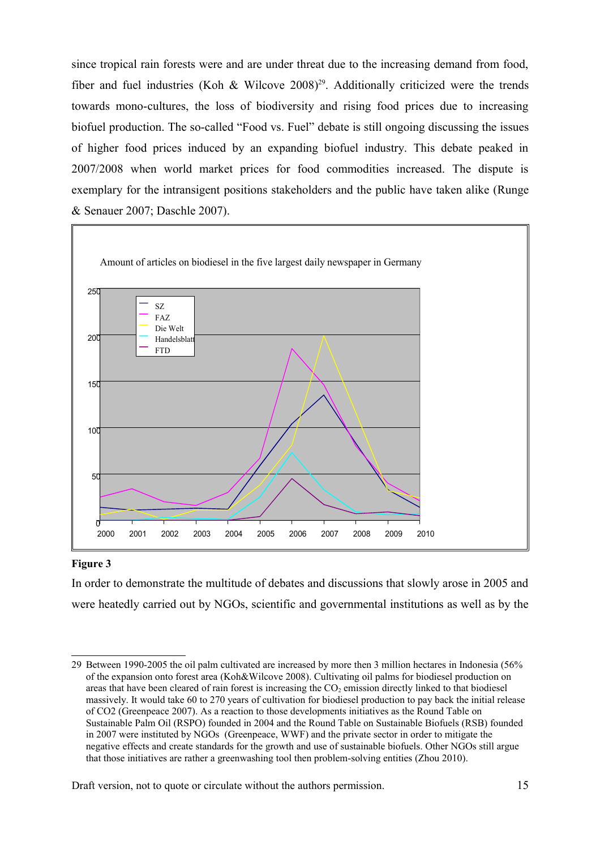since tropical rain forests were and are under threat due to the increasing demand from food, fiber and fuel industries (Koh & Wilcove  $2008$ )<sup>[29](#page-14-0)</sup>. Additionally criticized were the trends towards mono-cultures, the loss of biodiversity and rising food prices due to increasing biofuel production. The so-called "Food vs. Fuel" debate is still ongoing discussing the issues of higher food prices induced by an expanding biofuel industry. This debate peaked in 2007/2008 when world market prices for food commodities increased. The dispute is exemplary for the intransigent positions stakeholders and the public have taken alike (Runge & Senauer 2007; Daschle 2007).



#### **Figure 3**

In order to demonstrate the multitude of debates and discussions that slowly arose in 2005 and were heatedly carried out by NGOs, scientific and governmental institutions as well as by the

<span id="page-14-0"></span><sup>29</sup> Between 1990-2005 the oil palm cultivated are increased by more then 3 million hectares in Indonesia (56% of the expansion onto forest area (Koh&Wilcove 2008). Cultivating oil palms for biodiesel production on areas that have been cleared of rain forest is increasing the  $CO<sub>2</sub>$  emission directly linked to that biodiesel massively. It would take 60 to 270 years of cultivation for biodiesel production to pay back the initial release of CO2 (Greenpeace 2007). As a reaction to those developments initiatives as the Round Table on Sustainable Palm Oil (RSPO) founded in 2004 and the Round Table on Sustainable Biofuels (RSB) founded in 2007 were instituted by NGOs (Greenpeace, WWF) and the private sector in order to mitigate the negative effects and create standards for the growth and use of sustainable biofuels. Other NGOs still argue that those initiatives are rather a greenwashing tool then problem-solving entities (Zhou 2010).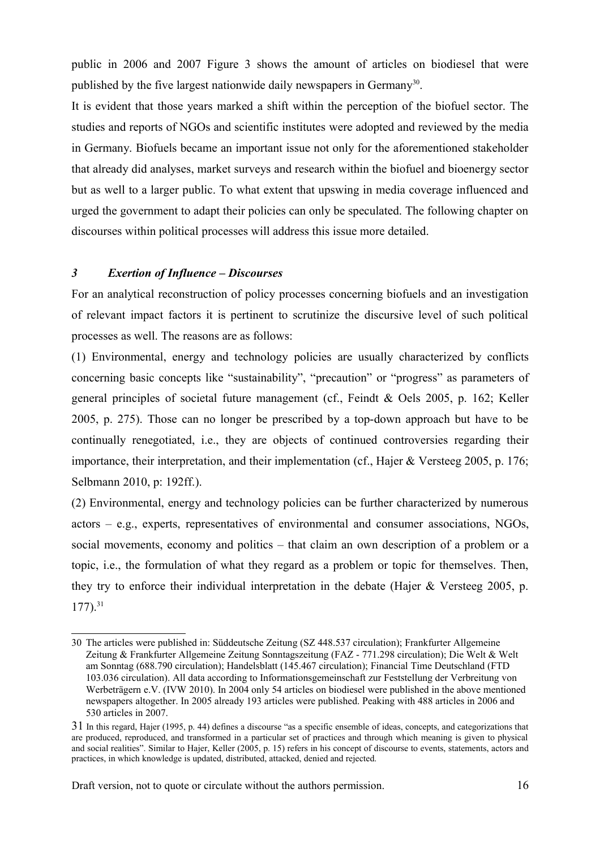public in 2006 and 2007 Figure 3 shows the amount of articles on biodiesel that were published by the five largest nationwide daily newspapers in Germany<sup>[30](#page-15-0)</sup>.

It is evident that those years marked a shift within the perception of the biofuel sector. The studies and reports of NGOs and scientific institutes were adopted and reviewed by the media in Germany. Biofuels became an important issue not only for the aforementioned stakeholder that already did analyses, market surveys and research within the biofuel and bioenergy sector but as well to a larger public. To what extent that upswing in media coverage influenced and urged the government to adapt their policies can only be speculated. The following chapter on discourses within political processes will address this issue more detailed.

# *3 Exertion of Influence – Discourses*

For an analytical reconstruction of policy processes concerning biofuels and an investigation of relevant impact factors it is pertinent to scrutinize the discursive level of such political processes as well. The reasons are as follows:

(1) Environmental, energy and technology policies are usually characterized by conflicts concerning basic concepts like "sustainability", "precaution" or "progress" as parameters of general principles of societal future management (cf., Feindt & Oels 2005, p. 162; Keller 2005, p. 275). Those can no longer be prescribed by a top-down approach but have to be continually renegotiated, i.e., they are objects of continued controversies regarding their importance, their interpretation, and their implementation (cf., Hajer & Versteeg 2005, p. 176; Selbmann 2010, p: 192ff.).

(2) Environmental, energy and technology policies can be further characterized by numerous actors – e.g., experts, representatives of environmental and consumer associations, NGOs, social movements, economy and politics – that claim an own description of a problem or a topic, i.e., the formulation of what they regard as a problem or topic for themselves. Then, they try to enforce their individual interpretation in the debate (Hajer & Versteeg 2005, p.  $177)$ .<sup>[31](#page-15-1)</sup>

<span id="page-15-0"></span><sup>30</sup> The articles were published in: Süddeutsche Zeitung (SZ 448.537 circulation); Frankfurter Allgemeine Zeitung & Frankfurter Allgemeine Zeitung Sonntagszeitung (FAZ - 771.298 circulation); Die Welt & Welt am Sonntag (688.790 circulation); Handelsblatt (145.467 circulation); Financial Time Deutschland (FTD 103.036 circulation). All data according to Informationsgemeinschaft zur Feststellung der Verbreitung von Werbeträgern e.V. (IVW 2010). In 2004 only 54 articles on biodiesel were published in the above mentioned newspapers altogether. In 2005 already 193 articles were published. Peaking with 488 articles in 2006 and 530 articles in 2007.

<span id="page-15-1"></span><sup>31</sup> In this regard, Hajer (1995, p. 44) defines a discourse "as a specific ensemble of ideas, concepts, and categorizations that are produced, reproduced, and transformed in a particular set of practices and through which meaning is given to physical and social realities". Similar to Hajer, Keller (2005, p. 15) refers in his concept of discourse to events, statements, actors and practices, in which knowledge is updated, distributed, attacked, denied and rejected.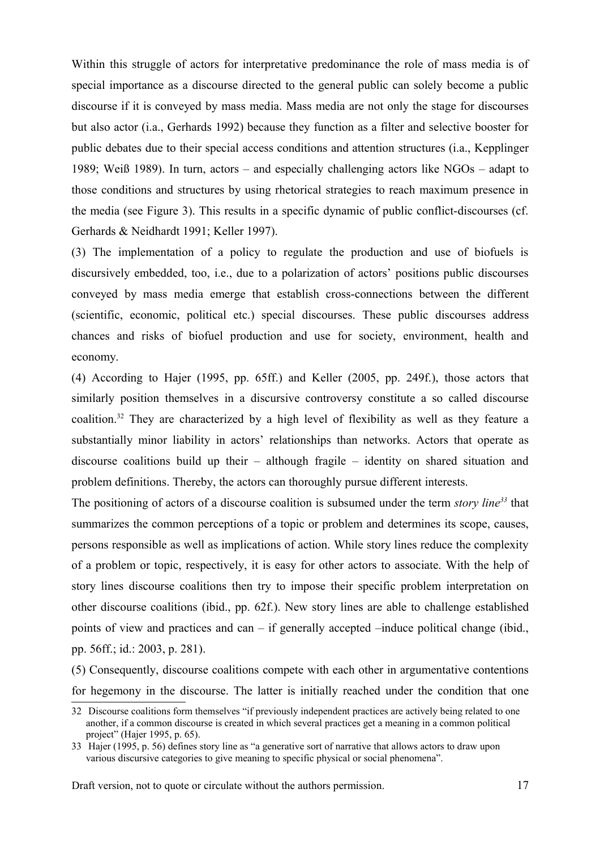Within this struggle of actors for interpretative predominance the role of mass media is of special importance as a discourse directed to the general public can solely become a public discourse if it is conveyed by mass media. Mass media are not only the stage for discourses but also actor (i.a., Gerhards 1992) because they function as a filter and selective booster for public debates due to their special access conditions and attention structures (i.a., Kepplinger 1989; Weiß 1989). In turn, actors – and especially challenging actors like NGOs – adapt to those conditions and structures by using rhetorical strategies to reach maximum presence in the media (see Figure 3). This results in a specific dynamic of public conflict-discourses (cf. Gerhards & Neidhardt 1991; Keller 1997).

(3) The implementation of a policy to regulate the production and use of biofuels is discursively embedded, too, i.e., due to a polarization of actors' positions public discourses conveyed by mass media emerge that establish cross-connections between the different (scientific, economic, political etc.) special discourses. These public discourses address chances and risks of biofuel production and use for society, environment, health and economy.

(4) According to Hajer (1995, pp. 65ff.) and Keller (2005, pp. 249f.), those actors that similarly position themselves in a discursive controversy constitute a so called discourse coalition.<sup>[32](#page-16-0)</sup> They are characterized by a high level of flexibility as well as they feature a substantially minor liability in actors' relationships than networks. Actors that operate as discourse coalitions build up their – although fragile – identity on shared situation and problem definitions. Thereby, the actors can thoroughly pursue different interests.

The positioning of actors of a discourse coalition is subsumed under the term *story line[33](#page-16-1)* that summarizes the common perceptions of a topic or problem and determines its scope, causes, persons responsible as well as implications of action. While story lines reduce the complexity of a problem or topic, respectively, it is easy for other actors to associate. With the help of story lines discourse coalitions then try to impose their specific problem interpretation on other discourse coalitions (ibid., pp. 62f.). New story lines are able to challenge established points of view and practices and can – if generally accepted –induce political change (ibid., pp. 56ff.; id.: 2003, p. 281).

(5) Consequently, discourse coalitions compete with each other in argumentative contentions for hegemony in the discourse. The latter is initially reached under the condition that one

<span id="page-16-0"></span><sup>32</sup> Discourse coalitions form themselves "if previously independent practices are actively being related to one another, if a common discourse is created in which several practices get a meaning in a common political project" (Hajer 1995, p. 65).

<span id="page-16-1"></span><sup>33</sup> Hajer (1995, p. 56) defines story line as "a generative sort of narrative that allows actors to draw upon various discursive categories to give meaning to specific physical or social phenomena".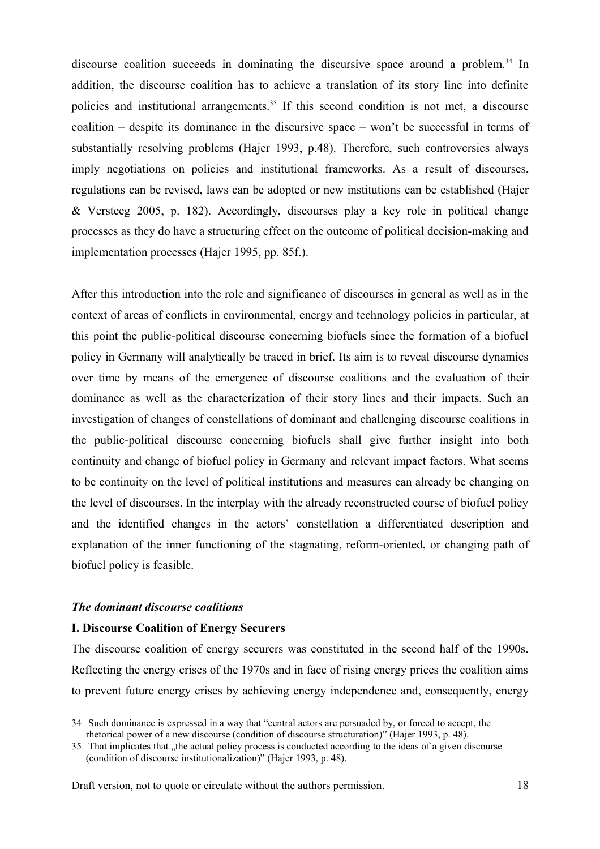discourse coalition succeeds in dominating the discursive space around a problem.<sup>[34](#page-17-0)</sup> In addition, the discourse coalition has to achieve a translation of its story line into definite policies and institutional arrangements.<sup>[35](#page-17-1)</sup> If this second condition is not met, a discourse coalition – despite its dominance in the discursive space – won't be successful in terms of substantially resolving problems (Hajer 1993, p.48). Therefore, such controversies always imply negotiations on policies and institutional frameworks. As a result of discourses, regulations can be revised, laws can be adopted or new institutions can be established (Hajer & Versteeg 2005, p. 182). Accordingly, discourses play a key role in political change processes as they do have a structuring effect on the outcome of political decision-making and implementation processes (Hajer 1995, pp. 85f.).

After this introduction into the role and significance of discourses in general as well as in the context of areas of conflicts in environmental, energy and technology policies in particular, at this point the public-political discourse concerning biofuels since the formation of a biofuel policy in Germany will analytically be traced in brief. Its aim is to reveal discourse dynamics over time by means of the emergence of discourse coalitions and the evaluation of their dominance as well as the characterization of their story lines and their impacts. Such an investigation of changes of constellations of dominant and challenging discourse coalitions in the public-political discourse concerning biofuels shall give further insight into both continuity and change of biofuel policy in Germany and relevant impact factors. What seems to be continuity on the level of political institutions and measures can already be changing on the level of discourses. In the interplay with the already reconstructed course of biofuel policy and the identified changes in the actors' constellation a differentiated description and explanation of the inner functioning of the stagnating, reform-oriented, or changing path of biofuel policy is feasible.

## *The dominant discourse coalitions*

## **I. Discourse Coalition of Energy Securers**

The discourse coalition of energy securers was constituted in the second half of the 1990s. Reflecting the energy crises of the 1970s and in face of rising energy prices the coalition aims to prevent future energy crises by achieving energy independence and, consequently, energy

<span id="page-17-0"></span><sup>34</sup> Such dominance is expressed in a way that "central actors are persuaded by, or forced to accept, the rhetorical power of a new discourse (condition of discourse structuration)" (Hajer 1993, p. 48).

<span id="page-17-1"></span><sup>35</sup> That implicates that , the actual policy process is conducted according to the ideas of a given discourse (condition of discourse institutionalization)" (Hajer 1993, p. 48).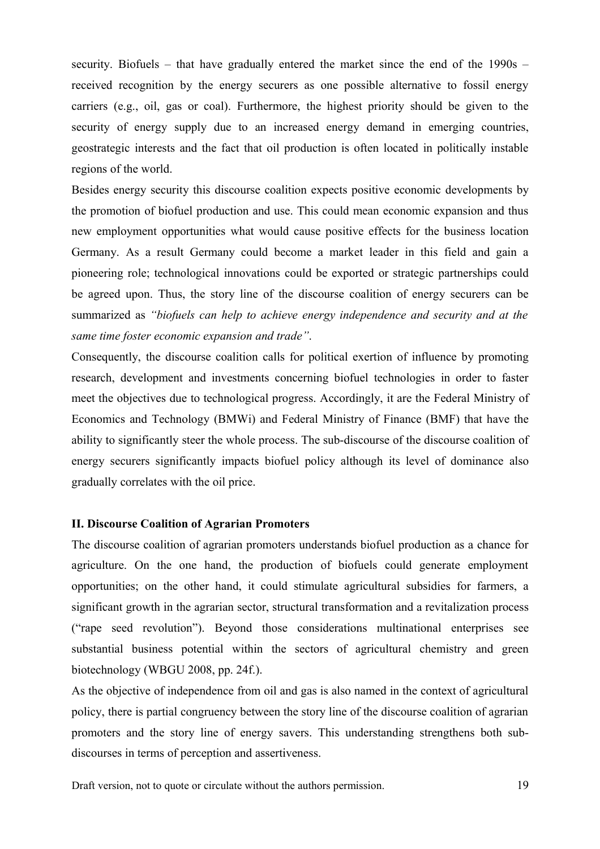security. Biofuels – that have gradually entered the market since the end of the 1990s – received recognition by the energy securers as one possible alternative to fossil energy carriers (e.g., oil, gas or coal). Furthermore, the highest priority should be given to the security of energy supply due to an increased energy demand in emerging countries, geostrategic interests and the fact that oil production is often located in politically instable regions of the world.

Besides energy security this discourse coalition expects positive economic developments by the promotion of biofuel production and use. This could mean economic expansion and thus new employment opportunities what would cause positive effects for the business location Germany. As a result Germany could become a market leader in this field and gain a pioneering role; technological innovations could be exported or strategic partnerships could be agreed upon. Thus, the story line of the discourse coalition of energy securers can be summarized as *"biofuels can help to achieve energy independence and security and at the same time foster economic expansion and trade"*.

Consequently, the discourse coalition calls for political exertion of influence by promoting research, development and investments concerning biofuel technologies in order to faster meet the objectives due to technological progress. Accordingly, it are the Federal Ministry of Economics and Technology (BMWi) and Federal Ministry of Finance (BMF) that have the ability to significantly steer the whole process. The sub-discourse of the discourse coalition of energy securers significantly impacts biofuel policy although its level of dominance also gradually correlates with the oil price.

## **II. Discourse Coalition of Agrarian Promoters**

The discourse coalition of agrarian promoters understands biofuel production as a chance for agriculture. On the one hand, the production of biofuels could generate employment opportunities; on the other hand, it could stimulate agricultural subsidies for farmers, a significant growth in the agrarian sector, structural transformation and a revitalization process ("rape seed revolution"). Beyond those considerations multinational enterprises see substantial business potential within the sectors of agricultural chemistry and green biotechnology (WBGU 2008, pp. 24f.).

As the objective of independence from oil and gas is also named in the context of agricultural policy, there is partial congruency between the story line of the discourse coalition of agrarian promoters and the story line of energy savers. This understanding strengthens both subdiscourses in terms of perception and assertiveness.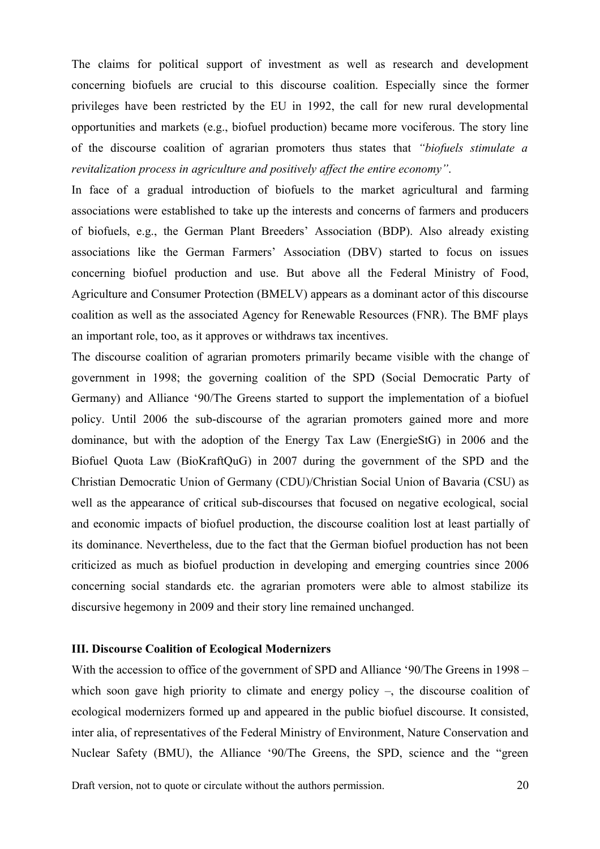The claims for political support of investment as well as research and development concerning biofuels are crucial to this discourse coalition. Especially since the former privileges have been restricted by the EU in 1992, the call for new rural developmental opportunities and markets (e.g., biofuel production) became more vociferous. The story line of the discourse coalition of agrarian promoters thus states that *"biofuels stimulate a revitalization process in agriculture and positively affect the entire economy"*.

In face of a gradual introduction of biofuels to the market agricultural and farming associations were established to take up the interests and concerns of farmers and producers of biofuels, e.g., the German Plant Breeders' Association (BDP). Also already existing associations like the German Farmers' Association (DBV) started to focus on issues concerning biofuel production and use. But above all the Federal Ministry of Food, Agriculture and Consumer Protection (BMELV) appears as a dominant actor of this discourse coalition as well as the associated Agency for Renewable Resources (FNR). The BMF plays an important role, too, as it approves or withdraws tax incentives.

The discourse coalition of agrarian promoters primarily became visible with the change of government in 1998; the governing coalition of the SPD (Social Democratic Party of Germany) and Alliance '90/The Greens started to support the implementation of a biofuel policy. Until 2006 the sub-discourse of the agrarian promoters gained more and more dominance, but with the adoption of the Energy Tax Law (EnergieStG) in 2006 and the Biofuel Quota Law (BioKraftQuG) in 2007 during the government of the SPD and the Christian Democratic Union of Germany (CDU)/Christian Social Union of Bavaria (CSU) as well as the appearance of critical sub-discourses that focused on negative ecological, social and economic impacts of biofuel production, the discourse coalition lost at least partially of its dominance. Nevertheless, due to the fact that the German biofuel production has not been criticized as much as biofuel production in developing and emerging countries since 2006 concerning social standards etc. the agrarian promoters were able to almost stabilize its discursive hegemony in 2009 and their story line remained unchanged.

# **III. Discourse Coalition of Ecological Modernizers**

With the accession to office of the government of SPD and Alliance '90/The Greens in 1998 – which soon gave high priority to climate and energy policy –, the discourse coalition of ecological modernizers formed up and appeared in the public biofuel discourse. It consisted, inter alia, of representatives of the Federal Ministry of Environment, Nature Conservation and Nuclear Safety (BMU), the Alliance '90/The Greens, the SPD, science and the "green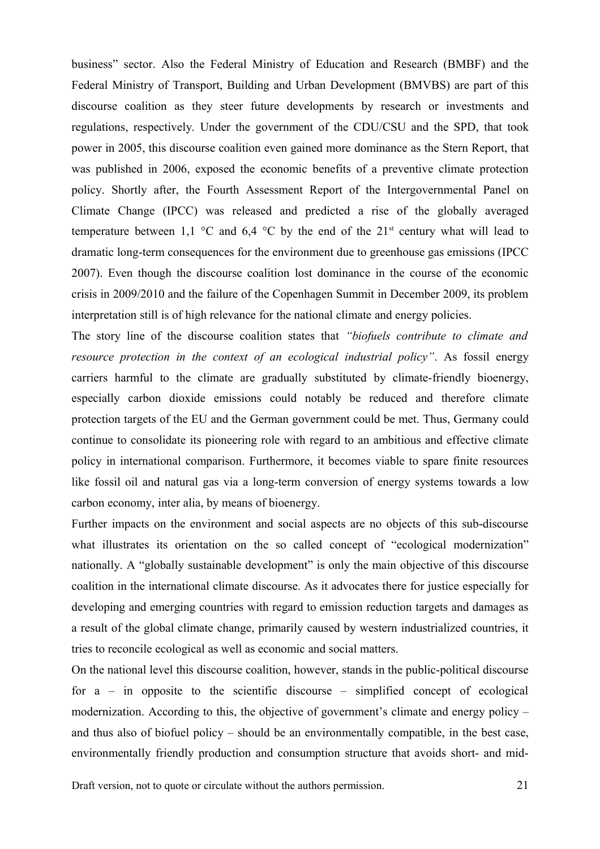business" sector. Also the Federal Ministry of Education and Research (BMBF) and the Federal Ministry of Transport, Building and Urban Development (BMVBS) are part of this discourse coalition as they steer future developments by research or investments and regulations, respectively. Under the government of the CDU/CSU and the SPD, that took power in 2005, this discourse coalition even gained more dominance as the Stern Report, that was published in 2006, exposed the economic benefits of a preventive climate protection policy. Shortly after, the Fourth Assessment Report of the Intergovernmental Panel on Climate Change (IPCC) was released and predicted a rise of the globally averaged temperature between 1,1  $\degree$ C and 6,4  $\degree$ C by the end of the 21<sup>st</sup> century what will lead to dramatic long-term consequences for the environment due to greenhouse gas emissions (IPCC 2007). Even though the discourse coalition lost dominance in the course of the economic crisis in 2009/2010 and the failure of the Copenhagen Summit in December 2009, its problem interpretation still is of high relevance for the national climate and energy policies.

The story line of the discourse coalition states that *"biofuels contribute to climate and resource protection in the context of an ecological industrial policy"*. As fossil energy carriers harmful to the climate are gradually substituted by climate-friendly bioenergy, especially carbon dioxide emissions could notably be reduced and therefore climate protection targets of the EU and the German government could be met. Thus, Germany could continue to consolidate its pioneering role with regard to an ambitious and effective climate policy in international comparison. Furthermore, it becomes viable to spare finite resources like fossil oil and natural gas via a long-term conversion of energy systems towards a low carbon economy, inter alia, by means of bioenergy.

Further impacts on the environment and social aspects are no objects of this sub-discourse what illustrates its orientation on the so called concept of "ecological modernization" nationally. A "globally sustainable development" is only the main objective of this discourse coalition in the international climate discourse. As it advocates there for justice especially for developing and emerging countries with regard to emission reduction targets and damages as a result of the global climate change, primarily caused by western industrialized countries, it tries to reconcile ecological as well as economic and social matters.

On the national level this discourse coalition, however, stands in the public-political discourse for  $a$  – in opposite to the scientific discourse – simplified concept of ecological modernization. According to this, the objective of government's climate and energy policy – and thus also of biofuel policy – should be an environmentally compatible, in the best case, environmentally friendly production and consumption structure that avoids short- and mid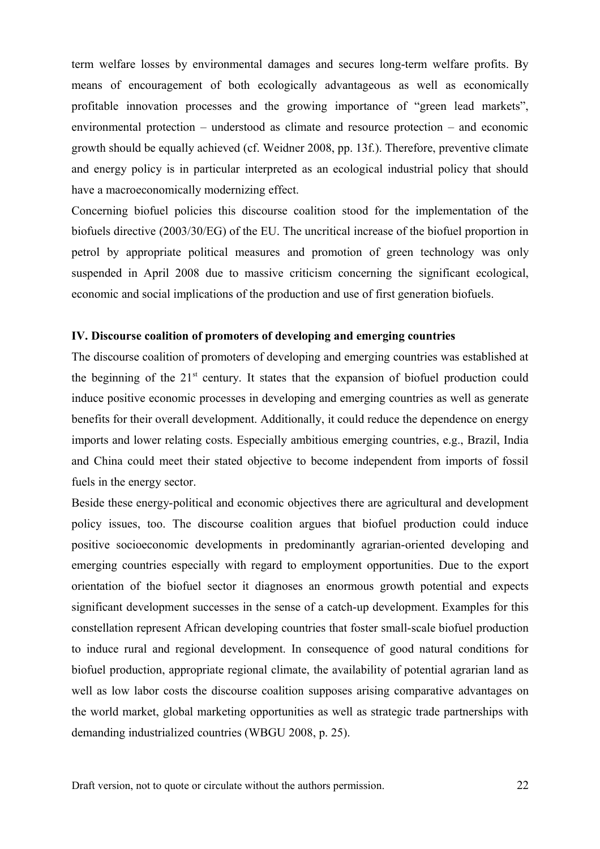term welfare losses by environmental damages and secures long-term welfare profits. By means of encouragement of both ecologically advantageous as well as economically profitable innovation processes and the growing importance of "green lead markets", environmental protection – understood as climate and resource protection – and economic growth should be equally achieved (cf. Weidner 2008, pp. 13f.). Therefore, preventive climate and energy policy is in particular interpreted as an ecological industrial policy that should have a macroeconomically modernizing effect.

Concerning biofuel policies this discourse coalition stood for the implementation of the biofuels directive (2003/30/EG) of the EU. The uncritical increase of the biofuel proportion in petrol by appropriate political measures and promotion of green technology was only suspended in April 2008 due to massive criticism concerning the significant ecological, economic and social implications of the production and use of first generation biofuels.

## **IV. Discourse coalition of promoters of developing and emerging countries**

The discourse coalition of promoters of developing and emerging countries was established at the beginning of the  $21<sup>st</sup>$  century. It states that the expansion of biofuel production could induce positive economic processes in developing and emerging countries as well as generate benefits for their overall development. Additionally, it could reduce the dependence on energy imports and lower relating costs. Especially ambitious emerging countries, e.g., Brazil, India and China could meet their stated objective to become independent from imports of fossil fuels in the energy sector.

Beside these energy-political and economic objectives there are agricultural and development policy issues, too. The discourse coalition argues that biofuel production could induce positive socioeconomic developments in predominantly agrarian-oriented developing and emerging countries especially with regard to employment opportunities. Due to the export orientation of the biofuel sector it diagnoses an enormous growth potential and expects significant development successes in the sense of a catch-up development. Examples for this constellation represent African developing countries that foster small-scale biofuel production to induce rural and regional development. In consequence of good natural conditions for biofuel production, appropriate regional climate, the availability of potential agrarian land as well as low labor costs the discourse coalition supposes arising comparative advantages on the world market, global marketing opportunities as well as strategic trade partnerships with demanding industrialized countries (WBGU 2008, p. 25).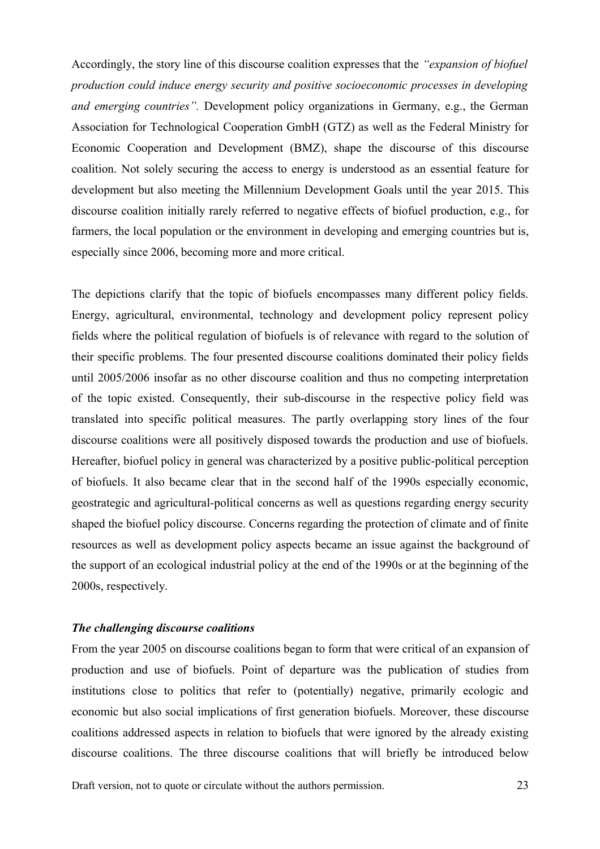Accordingly, the story line of this discourse coalition expresses that the *"expansion of biofuel production could induce energy security and positive socioeconomic processes in developing and emerging countries".* Development policy organizations in Germany, e.g., the German Association for Technological Cooperation GmbH (GTZ) as well as the Federal Ministry for Economic Cooperation and Development (BMZ), shape the discourse of this discourse coalition. Not solely securing the access to energy is understood as an essential feature for development but also meeting the Millennium Development Goals until the year 2015. This discourse coalition initially rarely referred to negative effects of biofuel production, e.g., for farmers, the local population or the environment in developing and emerging countries but is, especially since 2006, becoming more and more critical.

The depictions clarify that the topic of biofuels encompasses many different policy fields. Energy, agricultural, environmental, technology and development policy represent policy fields where the political regulation of biofuels is of relevance with regard to the solution of their specific problems. The four presented discourse coalitions dominated their policy fields until 2005/2006 insofar as no other discourse coalition and thus no competing interpretation of the topic existed. Consequently, their sub-discourse in the respective policy field was translated into specific political measures. The partly overlapping story lines of the four discourse coalitions were all positively disposed towards the production and use of biofuels. Hereafter, biofuel policy in general was characterized by a positive public-political perception of biofuels. It also became clear that in the second half of the 1990s especially economic, geostrategic and agricultural-political concerns as well as questions regarding energy security shaped the biofuel policy discourse. Concerns regarding the protection of climate and of finite resources as well as development policy aspects became an issue against the background of the support of an ecological industrial policy at the end of the 1990s or at the beginning of the 2000s, respectively.

#### *The challenging discourse coalitions*

From the year 2005 on discourse coalitions began to form that were critical of an expansion of production and use of biofuels. Point of departure was the publication of studies from institutions close to politics that refer to (potentially) negative, primarily ecologic and economic but also social implications of first generation biofuels. Moreover, these discourse coalitions addressed aspects in relation to biofuels that were ignored by the already existing discourse coalitions. The three discourse coalitions that will briefly be introduced below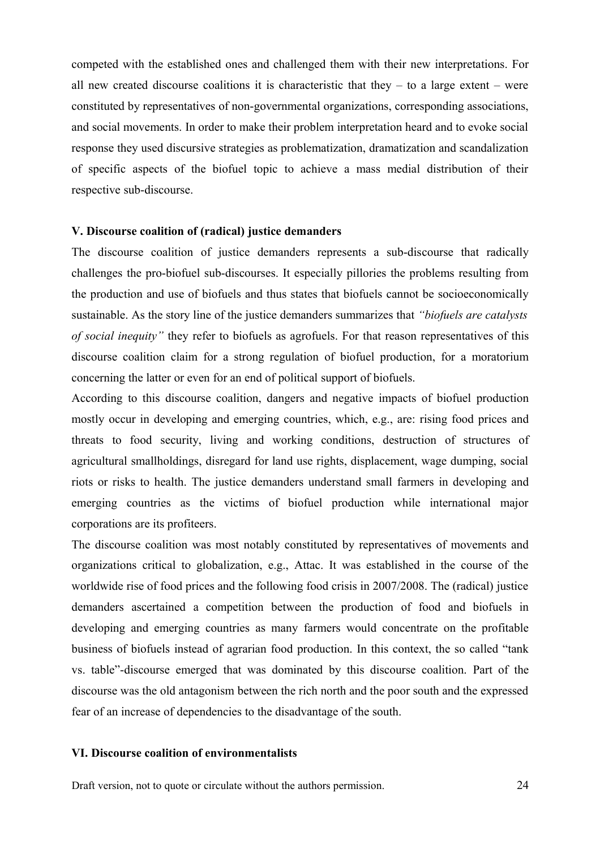competed with the established ones and challenged them with their new interpretations. For all new created discourse coalitions it is characteristic that they  $-$  to a large extent  $-$  were constituted by representatives of non-governmental organizations, corresponding associations, and social movements. In order to make their problem interpretation heard and to evoke social response they used discursive strategies as problematization, dramatization and scandalization of specific aspects of the biofuel topic to achieve a mass medial distribution of their respective sub-discourse.

#### **V. Discourse coalition of (radical) justice demanders**

The discourse coalition of justice demanders represents a sub-discourse that radically challenges the pro-biofuel sub-discourses. It especially pillories the problems resulting from the production and use of biofuels and thus states that biofuels cannot be socioeconomically sustainable. As the story line of the justice demanders summarizes that *"biofuels are catalysts of social inequity"* they refer to biofuels as agrofuels. For that reason representatives of this discourse coalition claim for a strong regulation of biofuel production, for a moratorium concerning the latter or even for an end of political support of biofuels.

According to this discourse coalition, dangers and negative impacts of biofuel production mostly occur in developing and emerging countries, which, e.g., are: rising food prices and threats to food security, living and working conditions, destruction of structures of agricultural smallholdings, disregard for land use rights, displacement, wage dumping, social riots or risks to health. The justice demanders understand small farmers in developing and emerging countries as the victims of biofuel production while international major corporations are its profiteers.

The discourse coalition was most notably constituted by representatives of movements and organizations critical to globalization, e.g., Attac. It was established in the course of the worldwide rise of food prices and the following food crisis in 2007/2008. The (radical) justice demanders ascertained a competition between the production of food and biofuels in developing and emerging countries as many farmers would concentrate on the profitable business of biofuels instead of agrarian food production. In this context, the so called "tank vs. table"-discourse emerged that was dominated by this discourse coalition. Part of the discourse was the old antagonism between the rich north and the poor south and the expressed fear of an increase of dependencies to the disadvantage of the south.

#### **VI. Discourse coalition of environmentalists**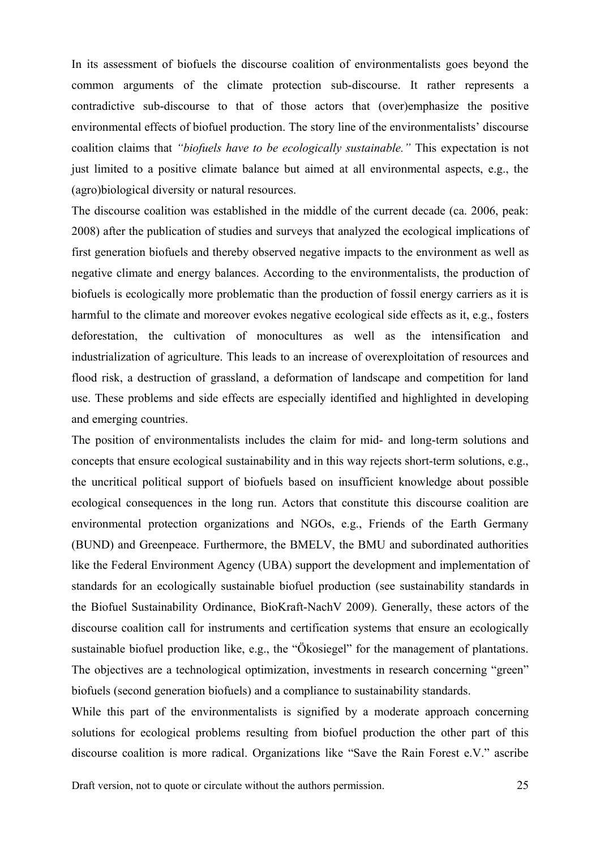In its assessment of biofuels the discourse coalition of environmentalists goes beyond the common arguments of the climate protection sub-discourse. It rather represents a contradictive sub-discourse to that of those actors that (over)emphasize the positive environmental effects of biofuel production. The story line of the environmentalists' discourse coalition claims that *"biofuels have to be ecologically sustainable."* This expectation is not just limited to a positive climate balance but aimed at all environmental aspects, e.g., the (agro)biological diversity or natural resources.

The discourse coalition was established in the middle of the current decade (ca. 2006, peak: 2008) after the publication of studies and surveys that analyzed the ecological implications of first generation biofuels and thereby observed negative impacts to the environment as well as negative climate and energy balances. According to the environmentalists, the production of biofuels is ecologically more problematic than the production of fossil energy carriers as it is harmful to the climate and moreover evokes negative ecological side effects as it, e.g., fosters deforestation, the cultivation of monocultures as well as the intensification and industrialization of agriculture. This leads to an increase of overexploitation of resources and flood risk, a destruction of grassland, a deformation of landscape and competition for land use. These problems and side effects are especially identified and highlighted in developing and emerging countries.

The position of environmentalists includes the claim for mid- and long-term solutions and concepts that ensure ecological sustainability and in this way rejects short-term solutions, e.g., the uncritical political support of biofuels based on insufficient knowledge about possible ecological consequences in the long run. Actors that constitute this discourse coalition are environmental protection organizations and NGOs, e.g., Friends of the Earth Germany (BUND) and Greenpeace. Furthermore, the BMELV, the BMU and subordinated authorities like the Federal Environment Agency (UBA) support the development and implementation of standards for an ecologically sustainable biofuel production (see sustainability standards in the Biofuel Sustainability Ordinance, BioKraft-NachV 2009). Generally, these actors of the discourse coalition call for instruments and certification systems that ensure an ecologically sustainable biofuel production like, e.g., the "Ökosiegel" for the management of plantations. The objectives are a technological optimization, investments in research concerning "green" biofuels (second generation biofuels) and a compliance to sustainability standards.

While this part of the environmentalists is signified by a moderate approach concerning solutions for ecological problems resulting from biofuel production the other part of this discourse coalition is more radical. Organizations like "Save the Rain Forest e.V." ascribe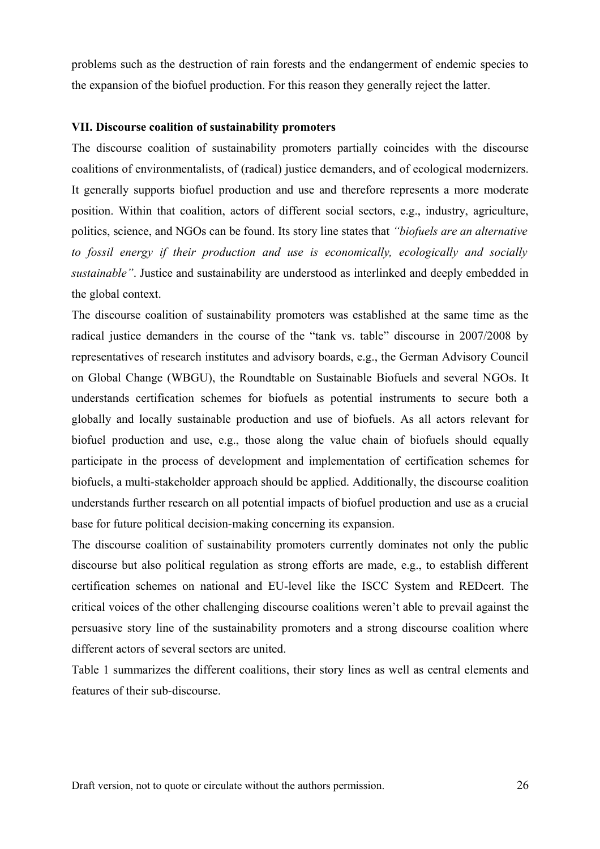problems such as the destruction of rain forests and the endangerment of endemic species to the expansion of the biofuel production. For this reason they generally reject the latter.

## **VII. Discourse coalition of sustainability promoters**

The discourse coalition of sustainability promoters partially coincides with the discourse coalitions of environmentalists, of (radical) justice demanders, and of ecological modernizers. It generally supports biofuel production and use and therefore represents a more moderate position. Within that coalition, actors of different social sectors, e.g., industry, agriculture, politics, science, and NGOs can be found. Its story line states that *"biofuels are an alternative to fossil energy if their production and use is economically, ecologically and socially sustainable"*. Justice and sustainability are understood as interlinked and deeply embedded in the global context.

The discourse coalition of sustainability promoters was established at the same time as the radical justice demanders in the course of the "tank vs. table" discourse in 2007/2008 by representatives of research institutes and advisory boards, e.g., the German Advisory Council on Global Change (WBGU), the Roundtable on Sustainable Biofuels and several NGOs. It understands certification schemes for biofuels as potential instruments to secure both a globally and locally sustainable production and use of biofuels. As all actors relevant for biofuel production and use, e.g., those along the value chain of biofuels should equally participate in the process of development and implementation of certification schemes for biofuels, a multi-stakeholder approach should be applied. Additionally, the discourse coalition understands further research on all potential impacts of biofuel production and use as a crucial base for future political decision-making concerning its expansion.

The discourse coalition of sustainability promoters currently dominates not only the public discourse but also political regulation as strong efforts are made, e.g., to establish different certification schemes on national and EU-level like the ISCC System and REDcert. The critical voices of the other challenging discourse coalitions weren't able to prevail against the persuasive story line of the sustainability promoters and a strong discourse coalition where different actors of several sectors are united.

Table 1 summarizes the different coalitions, their story lines as well as central elements and features of their sub-discourse.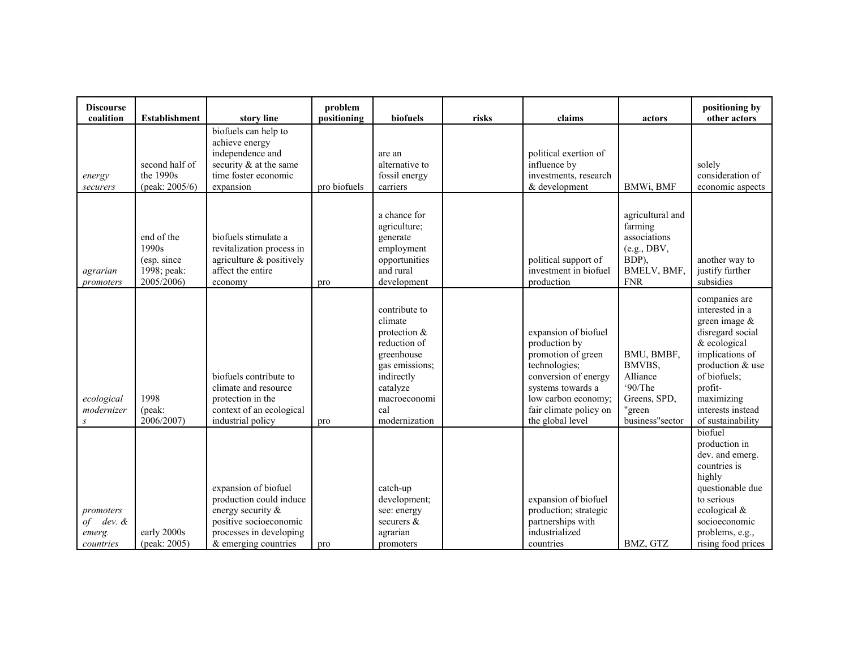| <b>Discourse</b><br>coalition                    | <b>Establishment</b>                                            | story line                                                                                                                                        | problem<br>positioning | biofuels                                                                                                                                                     | risks | claims                                                                                                                                                                                         | actors                                                                                           | positioning by<br>other actors                                                                                                                                                                                     |
|--------------------------------------------------|-----------------------------------------------------------------|---------------------------------------------------------------------------------------------------------------------------------------------------|------------------------|--------------------------------------------------------------------------------------------------------------------------------------------------------------|-------|------------------------------------------------------------------------------------------------------------------------------------------------------------------------------------------------|--------------------------------------------------------------------------------------------------|--------------------------------------------------------------------------------------------------------------------------------------------------------------------------------------------------------------------|
| energy<br>securers                               | second half of<br>the 1990s<br>(peak: $2005/6$ )                | biofuels can help to<br>achieve energy<br>independence and<br>security & at the same<br>time foster economic<br>expansion                         | pro biofuels           | are an<br>alternative to<br>fossil energy<br>carriers                                                                                                        |       | political exertion of<br>influence by<br>investments, research<br>& development                                                                                                                | BMWi, BMF                                                                                        | solely<br>consideration of<br>economic aspects                                                                                                                                                                     |
| agrarian<br>promoters                            | end of the<br>1990s<br>(esp. since<br>1998; peak:<br>2005/2006) | biofuels stimulate a<br>revitalization process in<br>agriculture & positively<br>affect the entire<br>economy                                     | pro                    | a chance for<br>agriculture;<br>generate<br>employment<br>opportunities<br>and rural<br>development                                                          |       | political support of<br>investment in biofuel<br>production                                                                                                                                    | agricultural and<br>farming<br>associations<br>(e.g., DBV,<br>BDP),<br>BMELV, BMF,<br><b>FNR</b> | another way to<br>justify further<br>subsidies                                                                                                                                                                     |
| ecological<br>modernizer<br>S                    | 1998<br>(peak:<br>2006/2007)                                    | biofuels contribute to<br>climate and resource<br>protection in the<br>context of an ecological<br>industrial policy                              | pro                    | contribute to<br>climate<br>protection $&$<br>reduction of<br>greenhouse<br>gas emissions;<br>indirectly<br>catalyze<br>macroeconomi<br>cal<br>modernization |       | expansion of biofuel<br>production by<br>promotion of green<br>technologies;<br>conversion of energy<br>systems towards a<br>low carbon economy;<br>fair climate policy on<br>the global level | BMU, BMBF,<br>BMVBS,<br>Alliance<br>90/The<br>Greens, SPD,<br>"green<br>business"sector          | companies are<br>interested in a<br>green image $\&$<br>disregard social<br>& ecological<br>implications of<br>production & use<br>of biofuels;<br>profit-<br>maximizing<br>interests instead<br>of sustainability |
| promoters<br>of dev. $\&$<br>emerg.<br>countries | early 2000s<br>(peak: 2005)                                     | expansion of biofuel<br>production could induce<br>energy security &<br>positive socioeconomic<br>processes in developing<br>& emerging countries | pro                    | catch-up<br>development;<br>see: energy<br>securers &<br>agrarian<br>promoters                                                                               |       | expansion of biofuel<br>production; strategic<br>partnerships with<br>industrialized<br>countries                                                                                              | BMZ, GTZ                                                                                         | biofuel<br>production in<br>dev. and emerg.<br>countries is<br>highly<br>questionable due<br>to serious<br>ecological $&$<br>socioeconomic<br>problems, e.g.,<br>rising food prices                                |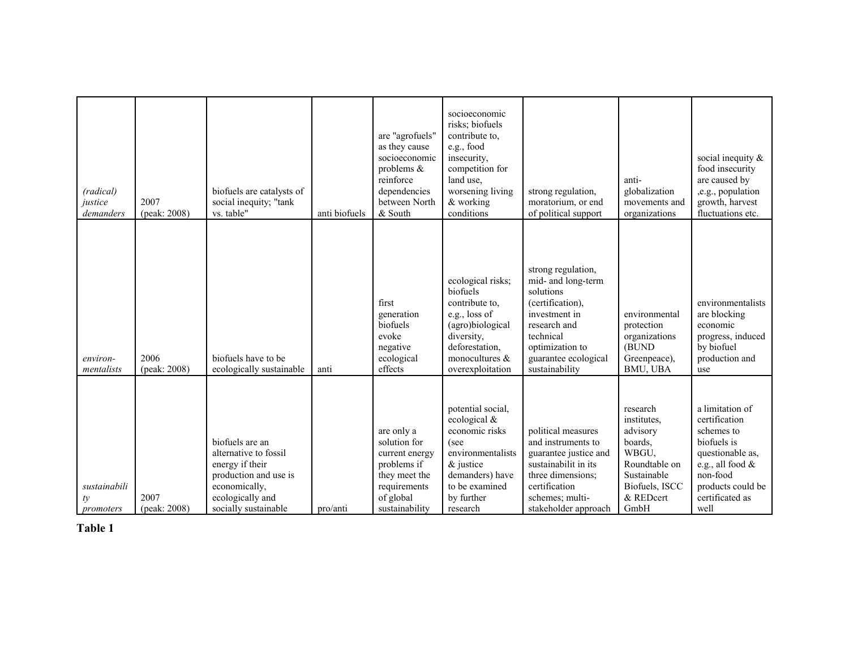| (radical)<br>justice<br>demanders | 2007<br>(peak: 2008) | biofuels are catalysts of<br>social inequity; "tank<br>vs. table"                                                                                 | anti biofuels | are "agrofuels"<br>as they cause<br>socioeconomic<br>problems $\&$<br>reinforce<br>dependencies<br>between North<br>& South | socioeconomic<br>risks; biofuels<br>contribute to,<br>e.g., food<br>insecurity,<br>competition for<br>land use,<br>worsening living<br>& working<br>conditions  | strong regulation,<br>moratorium, or end<br>of political support                                                                                                                     | anti-<br>globalization<br>movements and<br>organizations                                                                       | social inequity $\&$<br>food insecurity<br>are caused by<br>,e.g., population<br>growth, harvest<br>fluctuations etc.                                                |
|-----------------------------------|----------------------|---------------------------------------------------------------------------------------------------------------------------------------------------|---------------|-----------------------------------------------------------------------------------------------------------------------------|-----------------------------------------------------------------------------------------------------------------------------------------------------------------|--------------------------------------------------------------------------------------------------------------------------------------------------------------------------------------|--------------------------------------------------------------------------------------------------------------------------------|----------------------------------------------------------------------------------------------------------------------------------------------------------------------|
| environ-<br>mentalists            | 2006<br>(peak: 2008) | biofuels have to be<br>ecologically sustainable                                                                                                   | anti          | first<br>generation<br>biofuels<br>evoke<br>negative<br>ecological<br>effects                                               | ecological risks;<br>biofuels<br>contribute to,<br>e.g., loss of<br>(agro)biological<br>diversity,<br>deforestation,<br>monocultures $\&$<br>overexploitation   | strong regulation,<br>mid- and long-term<br>solutions<br>(certification),<br>investment in<br>research and<br>technical<br>optimization to<br>guarantee ecological<br>sustainability | environmental<br>protection<br>organizations<br>(BUND<br>Greenpeace),<br>BMU, UBA                                              | environmentalists<br>are blocking<br>economic<br>progress, induced<br>by biofuel<br>production and<br>use                                                            |
| sustainabili<br>ty<br>promoters   | 2007<br>(peak: 2008) | biofuels are an<br>alternative to fossil<br>energy if their<br>production and use is<br>economically,<br>ecologically and<br>socially sustainable | pro/anti      | are only a<br>solution for<br>current energy<br>problems if<br>they meet the<br>requirements<br>of global<br>sustainability | potential social,<br>ecological &<br>economic risks<br>(see<br>environmentalists<br>$\&$ justice<br>demanders) have<br>to be examined<br>by further<br>research | political measures<br>and instruments to<br>guarantee justice and<br>sustainabilit in its<br>three dimensions;<br>certification<br>schemes; multi-<br>stakeholder approach           | research<br>institutes.<br>advisory<br>boards,<br>WBGU,<br>Roundtable on<br>Sustainable<br>Biofuels, ISCC<br>& REDcert<br>GmbH | a limitation of<br>certification<br>schemes to<br>biofuels is<br>questionable as,<br>e.g., all food $\&$<br>non-food<br>products could be<br>certificated as<br>well |

 **Table 1**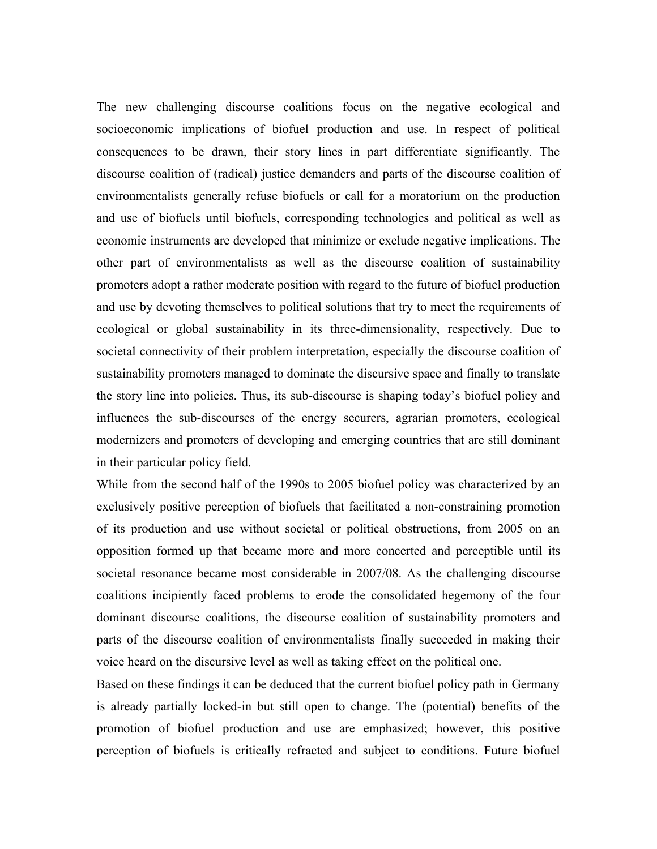The new challenging discourse coalitions focus on the negative ecological and socioeconomic implications of biofuel production and use. In respect of political consequences to be drawn, their story lines in part differentiate significantly. The discourse coalition of (radical) justice demanders and parts of the discourse coalition of environmentalists generally refuse biofuels or call for a moratorium on the production and use of biofuels until biofuels, corresponding technologies and political as well as economic instruments are developed that minimize or exclude negative implications. The other part of environmentalists as well as the discourse coalition of sustainability promoters adopt a rather moderate position with regard to the future of biofuel production and use by devoting themselves to political solutions that try to meet the requirements of ecological or global sustainability in its three-dimensionality, respectively. Due to societal connectivity of their problem interpretation, especially the discourse coalition of sustainability promoters managed to dominate the discursive space and finally to translate the story line into policies. Thus, its sub-discourse is shaping today's biofuel policy and influences the sub-discourses of the energy securers, agrarian promoters, ecological modernizers and promoters of developing and emerging countries that are still dominant in their particular policy field.

While from the second half of the 1990s to 2005 biofuel policy was characterized by an exclusively positive perception of biofuels that facilitated a non-constraining promotion of its production and use without societal or political obstructions, from 2005 on an opposition formed up that became more and more concerted and perceptible until its societal resonance became most considerable in 2007/08. As the challenging discourse coalitions incipiently faced problems to erode the consolidated hegemony of the four dominant discourse coalitions, the discourse coalition of sustainability promoters and parts of the discourse coalition of environmentalists finally succeeded in making their voice heard on the discursive level as well as taking effect on the political one.

Based on these findings it can be deduced that the current biofuel policy path in Germany is already partially locked-in but still open to change. The (potential) benefits of the promotion of biofuel production and use are emphasized; however, this positive perception of biofuels is critically refracted and subject to conditions. Future biofuel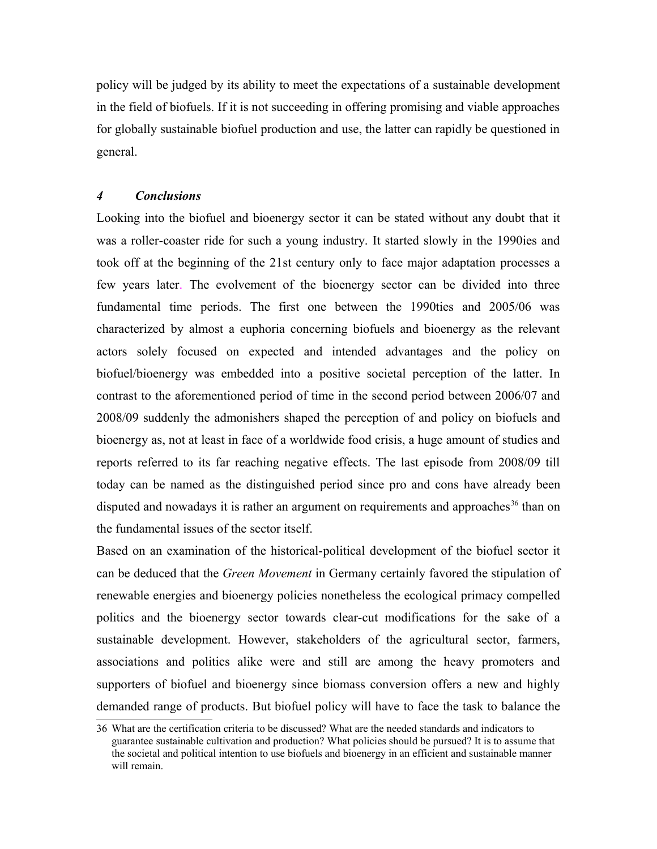policy will be judged by its ability to meet the expectations of a sustainable development in the field of biofuels. If it is not succeeding in offering promising and viable approaches for globally sustainable biofuel production and use, the latter can rapidly be questioned in general.

# *4 Conclusions*

Looking into the biofuel and bioenergy sector it can be stated without any doubt that it was a roller-coaster ride for such a young industry. It started slowly in the 1990ies and took off at the beginning of the 21st century only to face major adaptation processes a few years later. The evolvement of the bioenergy sector can be divided into three fundamental time periods. The first one between the 1990ties and 2005/06 was characterized by almost a euphoria concerning biofuels and bioenergy as the relevant actors solely focused on expected and intended advantages and the policy on biofuel/bioenergy was embedded into a positive societal perception of the latter. In contrast to the aforementioned period of time in the second period between 2006/07 and 2008/09 suddenly the admonishers shaped the perception of and policy on biofuels and bioenergy as, not at least in face of a worldwide food crisis, a huge amount of studies and reports referred to its far reaching negative effects. The last episode from 2008/09 till today can be named as the distinguished period since pro and cons have already been disputed and nowadays it is rather an argument on requirements and approaches<sup>[36](#page-29-0)</sup> than on the fundamental issues of the sector itself.

Based on an examination of the historical-political development of the biofuel sector it can be deduced that the *Green Movement* in Germany certainly favored the stipulation of renewable energies and bioenergy policies nonetheless the ecological primacy compelled politics and the bioenergy sector towards clear-cut modifications for the sake of a sustainable development. However, stakeholders of the agricultural sector, farmers, associations and politics alike were and still are among the heavy promoters and supporters of biofuel and bioenergy since biomass conversion offers a new and highly demanded range of products. But biofuel policy will have to face the task to balance the

<span id="page-29-0"></span><sup>36</sup> What are the certification criteria to be discussed? What are the needed standards and indicators to guarantee sustainable cultivation and production? What policies should be pursued? It is to assume that the societal and political intention to use biofuels and bioenergy in an efficient and sustainable manner will remain.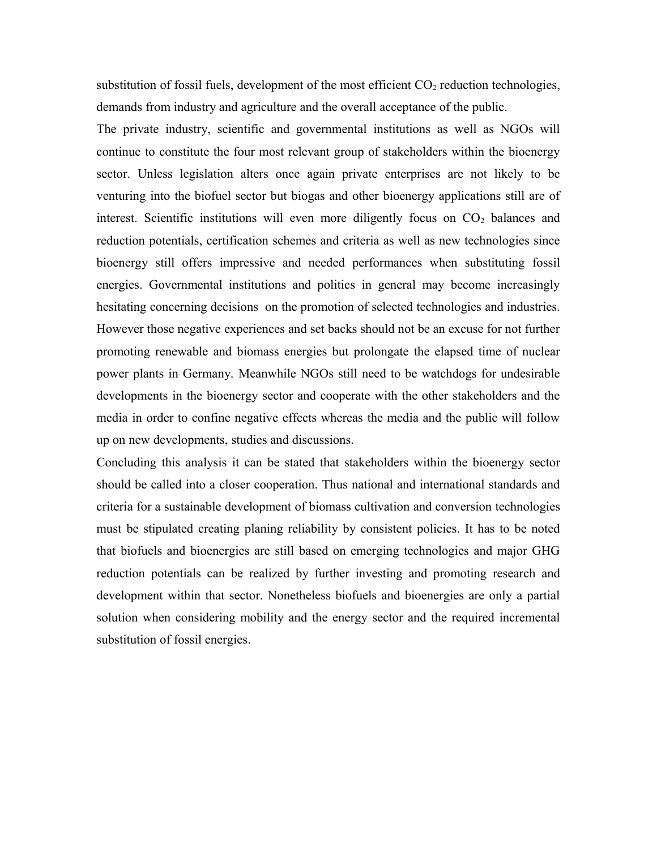substitution of fossil fuels, development of the most efficient  $CO<sub>2</sub>$  reduction technologies, demands from industry and agriculture and the overall acceptance of the public.

The private industry, scientific and governmental institutions as well as NGOs will continue to constitute the four most relevant group of stakeholders within the bioenergy sector. Unless legislation alters once again private enterprises are not likely to be venturing into the biofuel sector but biogas and other bioenergy applications still are of interest. Scientific institutions will even more diligently focus on  $CO<sub>2</sub>$  balances and reduction potentials, certification schemes and criteria as well as new technologies since bioenergy still offers impressive and needed performances when substituting fossil energies. Governmental institutions and politics in general may become increasingly hesitating concerning decisions on the promotion of selected technologies and industries. However those negative experiences and set backs should not be an excuse for not further promoting renewable and biomass energies but prolongate the elapsed time of nuclear power plants in Germany. Meanwhile NGOs still need to be watchdogs for undesirable developments in the bioenergy sector and cooperate with the other stakeholders and the media in order to confine negative effects whereas the media and the public will follow up on new developments, studies and discussions.

Concluding this analysis it can be stated that stakeholders within the bioenergy sector should be called into a closer cooperation. Thus national and international standards and criteria for a sustainable development of biomass cultivation and conversion technologies must be stipulated creating planing reliability by consistent policies. It has to be noted that biofuels and bioenergies are still based on emerging technologies and major GHG reduction potentials can be realized by further investing and promoting research and development within that sector. Nonetheless biofuels and bioenergies are only a partial solution when considering mobility and the energy sector and the required incremental substitution of fossil energies.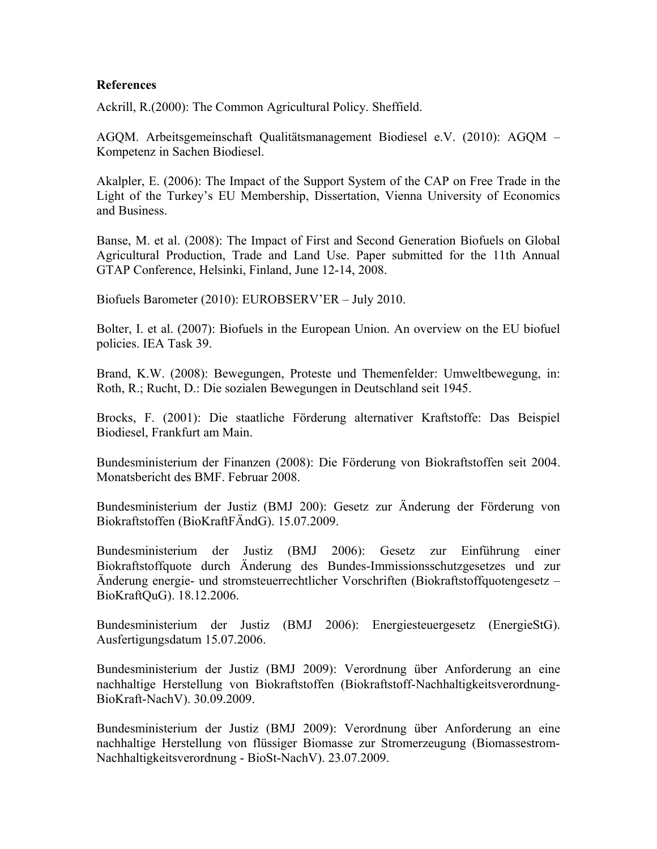## **References**

Ackrill, R.(2000): The Common Agricultural Policy. Sheffield.

AGQM. Arbeitsgemeinschaft Qualitätsmanagement Biodiesel e.V. (2010): AGQM – Kompetenz in Sachen Biodiesel.

Akalpler, E. (2006): The Impact of the Support System of the CAP on Free Trade in the Light of the Turkey's EU Membership, Dissertation, Vienna University of Economics and Business.

Banse, M. et al. (2008): The Impact of First and Second Generation Biofuels on Global Agricultural Production, Trade and Land Use. Paper submitted for the 11th Annual GTAP Conference, Helsinki, Finland, June 12-14, 2008.

Biofuels Barometer (2010): EUROBSERV'ER – July 2010.

Bolter, I. et al. (2007): Biofuels in the European Union. An overview on the EU biofuel policies. IEA Task 39.

Brand, K.W. (2008): Bewegungen, Proteste und Themenfelder: Umweltbewegung, in: Roth, R.; Rucht, D.: Die sozialen Bewegungen in Deutschland seit 1945.

Brocks, F. (2001): Die staatliche Förderung alternativer Kraftstoffe: Das Beispiel Biodiesel, Frankfurt am Main.

Bundesministerium der Finanzen (2008): Die Förderung von Biokraftstoffen seit 2004. Monatsbericht des BMF. Februar 2008.

Bundesministerium der Justiz (BMJ 200): Gesetz zur Änderung der Förderung von Biokraftstoffen (BioKraftFÄndG). 15.07.2009.

Bundesministerium der Justiz (BMJ 2006): Gesetz zur Einführung einer Biokraftstoffquote durch Änderung des Bundes-Immissionsschutzgesetzes und zur Änderung energie- und stromsteuerrechtlicher Vorschriften (Biokraftstoffquotengesetz – BioKraftQuG). 18.12.2006.

Bundesministerium der Justiz (BMJ 2006): Energiesteuergesetz (EnergieStG). Ausfertigungsdatum 15.07.2006.

Bundesministerium der Justiz (BMJ 2009): Verordnung über Anforderung an eine nachhaltige Herstellung von Biokraftstoffen (Biokraftstoff-Nachhaltigkeitsverordnung-BioKraft-NachV). 30.09.2009.

Bundesministerium der Justiz (BMJ 2009): Verordnung über Anforderung an eine nachhaltige Herstellung von flüssiger Biomasse zur Stromerzeugung (Biomassestrom-Nachhaltigkeitsverordnung - BioSt-NachV). 23.07.2009.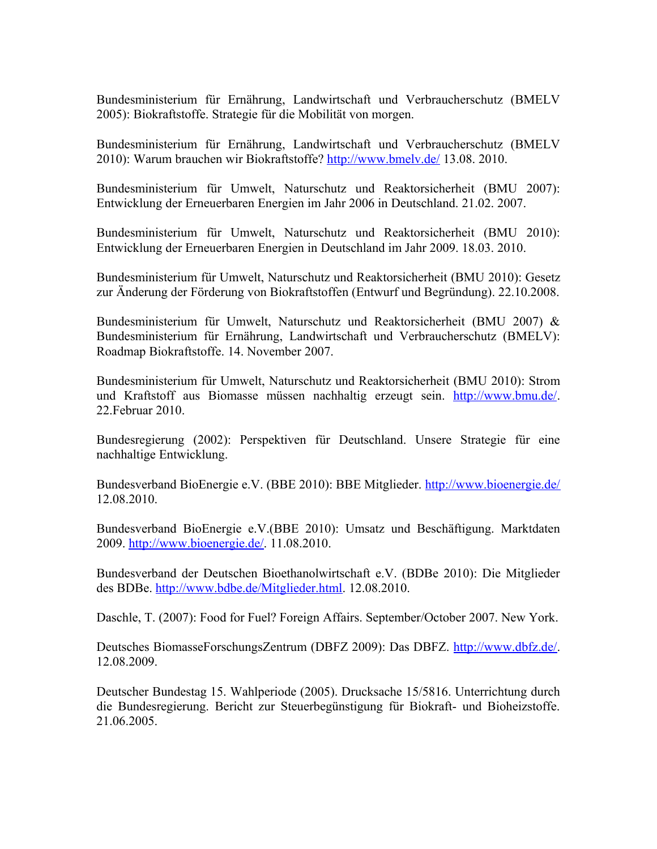Bundesministerium für Ernährung, Landwirtschaft und Verbraucherschutz (BMELV 2005): Biokraftstoffe. Strategie für die Mobilität von morgen.

Bundesministerium für Ernährung, Landwirtschaft und Verbraucherschutz (BMELV 2010): Warum brauchen wir Biokraftstoffe?<http://www.bmelv.de/>13.08. 2010.

Bundesministerium für Umwelt, Naturschutz und Reaktorsicherheit (BMU 2007): Entwicklung der Erneuerbaren Energien im Jahr 2006 in Deutschland. 21.02. 2007.

Bundesministerium für Umwelt, Naturschutz und Reaktorsicherheit (BMU 2010): Entwicklung der Erneuerbaren Energien in Deutschland im Jahr 2009. 18.03. 2010.

Bundesministerium für Umwelt, Naturschutz und Reaktorsicherheit (BMU 2010): Gesetz zur Änderung der Förderung von Biokraftstoffen (Entwurf und Begründung). 22.10.2008.

Bundesministerium für Umwelt, Naturschutz und Reaktorsicherheit (BMU 2007) & Bundesministerium für Ernährung, Landwirtschaft und Verbraucherschutz (BMELV): Roadmap Biokraftstoffe. 14. November 2007.

Bundesministerium für Umwelt, Naturschutz und Reaktorsicherheit (BMU 2010): Strom und Kraftstoff aus Biomasse müssen nachhaltig erzeugt sein. [http://www.bmu.de/.](http://www.bmu.de/erneuerbare/energien/doc/45676.php) 22.Februar 2010.

Bundesregierung (2002): Perspektiven für Deutschland. Unsere Strategie für eine nachhaltige Entwicklung.

Bundesverband BioEnergie e.V. (BBE 2010): BBE Mitglieder.<http://www.bioenergie.de/> 12.08.2010.

Bundesverband BioEnergie e.V.(BBE 2010): Umsatz und Beschäftigung. Marktdaten 2009. [http://www.bioenergie.de/.](http://www.bioenergie.de/) 11.08.2010.

Bundesverband der Deutschen Bioethanolwirtschaft e.V. (BDBe 2010): Die Mitglieder des BDBe. [http://www.bdbe.de/Mitglieder.html.](http://www.bdbe.de/Mitglieder.html) 12.08.2010.

Daschle, T. (2007): Food for Fuel? Foreign Affairs. September/October 2007. New York.

Deutsches BiomasseForschungsZentrum (DBFZ 2009): Das DBFZ. [http://www.dbfz.de/.](http://www.dbfz.de/) 12.08.2009.

Deutscher Bundestag 15. Wahlperiode (2005). Drucksache 15/5816. Unterrichtung durch die Bundesregierung. Bericht zur Steuerbegünstigung für Biokraft- und Bioheizstoffe. 21.06.2005.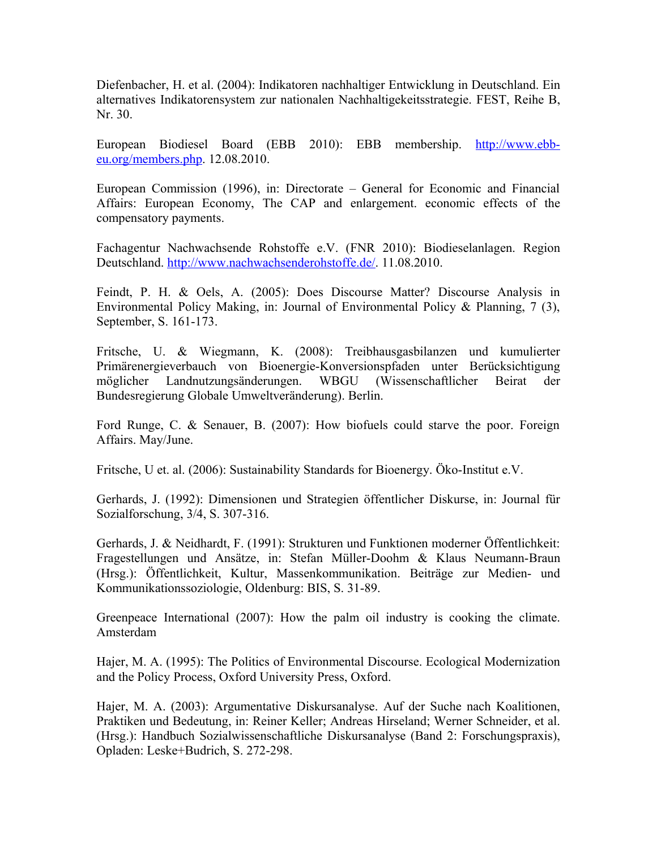Diefenbacher, H. et al. (2004): Indikatoren nachhaltiger Entwicklung in Deutschland. Ein alternatives Indikatorensystem zur nationalen Nachhaltigekeitsstrategie. FEST, Reihe B, Nr. 30.

European Biodiesel Board (EBB 2010): EBB membership. [http://www.ebb](http://www.ebb-eu.org/members.php)[eu.org/members.php.](http://www.ebb-eu.org/members.php) 12.08.2010.

European Commission (1996), in: Directorate – General for Economic and Financial Affairs: European Economy, The CAP and enlargement. economic effects of the compensatory payments.

Fachagentur Nachwachsende Rohstoffe e.V. (FNR 2010): Biodieselanlagen. Region Deutschland. [http://www.nachwachsenderohstoffe.de/.](http://www.nachwachsenderohstoffe.de/) 11.08.2010.

Feindt, P. H. & Oels, A. (2005): Does Discourse Matter? Discourse Analysis in Environmental Policy Making, in: Journal of Environmental Policy & Planning, 7 (3), September, S. 161-173.

Fritsche, U. & Wiegmann, K. (2008): Treibhausgasbilanzen und kumulierter Primärenergieverbauch von Bioenergie-Konversionspfaden unter Berücksichtigung möglicher Landnutzungsänderungen. WBGU (Wissenschaftlicher Beirat der Bundesregierung Globale Umweltveränderung). Berlin.

Ford Runge, C. & Senauer, B. (2007): How biofuels could starve the poor. Foreign Affairs. May/June.

Fritsche, U et. al. (2006): Sustainability Standards for Bioenergy. Öko-Institut e.V.

Gerhards, J. (1992): Dimensionen und Strategien öffentlicher Diskurse, in: Journal für Sozialforschung, 3/4, S. 307-316.

Gerhards, J. & Neidhardt, F. (1991): Strukturen und Funktionen moderner Öffentlichkeit: Fragestellungen und Ansätze, in: Stefan Müller-Doohm & Klaus Neumann-Braun (Hrsg.): Öffentlichkeit, Kultur, Massenkommunikation. Beiträge zur Medien- und Kommunikationssoziologie, Oldenburg: BIS, S. 31-89.

Greenpeace International (2007): How the palm oil industry is cooking the climate. Amsterdam

Hajer, M. A. (1995): The Politics of Environmental Discourse. Ecological Modernization and the Policy Process, Oxford University Press, Oxford.

Hajer, M. A. (2003): Argumentative Diskursanalyse. Auf der Suche nach Koalitionen, Praktiken und Bedeutung, in: Reiner Keller; Andreas Hirseland; Werner Schneider, et al. (Hrsg.): Handbuch Sozialwissenschaftliche Diskursanalyse (Band 2: Forschungspraxis), Opladen: Leske+Budrich, S. 272-298.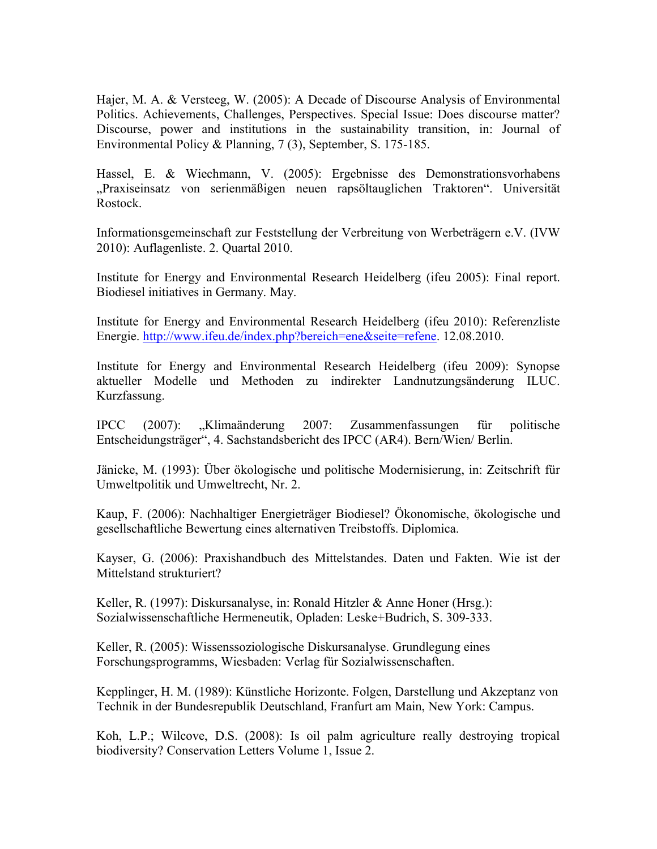Hajer, M. A. & Versteeg, W. (2005): A Decade of Discourse Analysis of Environmental Politics. Achievements, Challenges, Perspectives. Special Issue: Does discourse matter? Discourse, power and institutions in the sustainability transition, in: Journal of Environmental Policy & Planning, 7 (3), September, S. 175-185.

Hassel, E. & Wiechmann, V. (2005): Ergebnisse des Demonstrationsvorhabens "Praxiseinsatz von serienmäßigen neuen rapsöltauglichen Traktoren". Universität Rostock.

Informationsgemeinschaft zur Feststellung der Verbreitung von Werbeträgern e.V. (IVW 2010): Auflagenliste. 2. Quartal 2010.

Institute for Energy and Environmental Research Heidelberg (ifeu 2005): Final report. Biodiesel initiatives in Germany. May.

Institute for Energy and Environmental Research Heidelberg (ifeu 2010): Referenzliste Energie. [http://www.ifeu.de/index.php?bereich=ene&seite=refene.](http://www.ifeu.de/index.php?bereich=ene&seite=refene) 12.08.2010.

Institute for Energy and Environmental Research Heidelberg (ifeu 2009): Synopse aktueller Modelle und Methoden zu indirekter Landnutzungsänderung ILUC. Kurzfassung.

IPCC (2007): "Klimaänderung 2007: Zusammenfassungen für politische Entscheidungsträger", 4. Sachstandsbericht des IPCC (AR4). Bern/Wien/ Berlin.

Jänicke, M. (1993): Über ökologische und politische Modernisierung, in: Zeitschrift für Umweltpolitik und Umweltrecht, Nr. 2.

Kaup, F. (2006): Nachhaltiger Energieträger Biodiesel? Ökonomische, ökologische und gesellschaftliche Bewertung eines alternativen Treibstoffs. Diplomica.

Kayser, G. (2006): Praxishandbuch des Mittelstandes. Daten und Fakten. Wie ist der Mittelstand strukturiert?

Keller, R. (1997): Diskursanalyse, in: Ronald Hitzler & Anne Honer (Hrsg.): Sozialwissenschaftliche Hermeneutik, Opladen: Leske+Budrich, S. 309-333.

Keller, R. (2005): Wissenssoziologische Diskursanalyse. Grundlegung eines Forschungsprogramms, Wiesbaden: Verlag für Sozialwissenschaften.

Kepplinger, H. M. (1989): Künstliche Horizonte. Folgen, Darstellung und Akzeptanz von Technik in der Bundesrepublik Deutschland, Franfurt am Main, New York: Campus.

Koh, L.P.; Wilcove, D.S. (2008): Is oil palm agriculture really destroying tropical biodiversity? Conservation Letters Volume 1, Issue 2.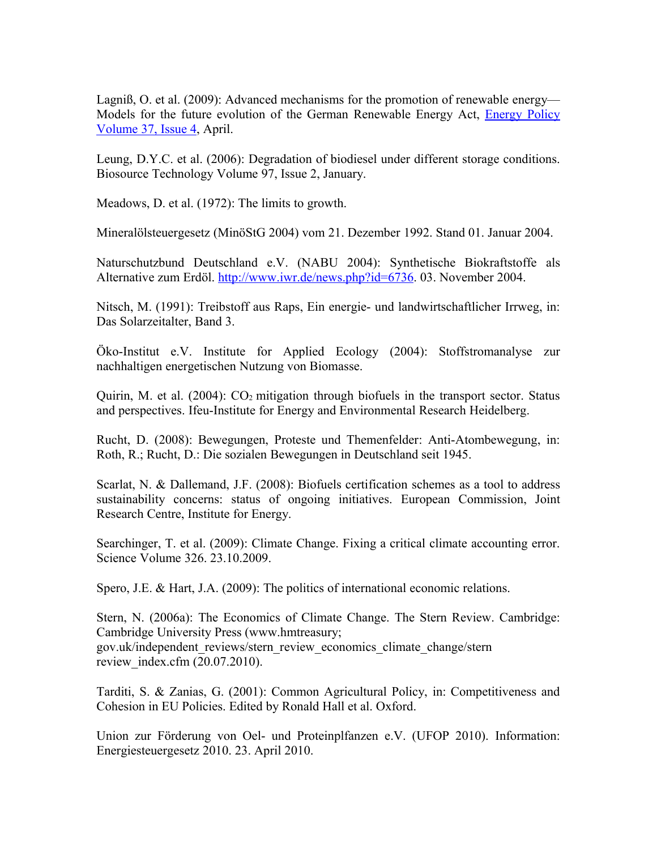Lagniß, O. et al. (2009): Advanced mechanisms for the promotion of renewable energy— Models for the future evolution of the German Renewable Energy Act, [Energy Policy](http://www.sciencedirect.com/science/journal/03014215) [Volume 37, Issue 4,](http://www.sciencedirect.com/science?_ob=PublicationURL&_tockey=%23TOC%235713%232009%23999629995%23945104%23FLA%23&_cdi=5713&_pubType=J&view=c&_auth=y&_acct=C000007398&_version=1&_urlVersion=0&_userid=111175&md5=b5d81a133bb12545e731f1ff10dc483f) April.

Leung, D.Y.C. et al. (2006): Degradation of biodiesel under different storage conditions. Biosource Technology Volume 97, Issue 2, January.

Meadows, D. et al. (1972): The limits to growth.

Mineralölsteuergesetz (MinöStG 2004) vom 21. Dezember 1992. Stand 01. Januar 2004.

Naturschutzbund Deutschland e.V. (NABU 2004): Synthetische Biokraftstoffe als Alternative zum Erdöl. [http://www.iwr.de/news.php?id=6736.](http://www.iwr.de/news.php?id=6736) 03. November 2004.

Nitsch, M. (1991): Treibstoff aus Raps, Ein energie- und landwirtschaftlicher Irrweg, in: Das Solarzeitalter, Band 3.

Öko-Institut e.V. Institute for Applied Ecology (2004): Stoffstromanalyse zur nachhaltigen energetischen Nutzung von Biomasse.

Quirin, M. et al.  $(2004)$ :  $CO<sub>2</sub>$  mitigation through biofuels in the transport sector. Status and perspectives. Ifeu-Institute for Energy and Environmental Research Heidelberg.

Rucht, D. (2008): Bewegungen, Proteste und Themenfelder: Anti-Atombewegung, in: Roth, R.; Rucht, D.: Die sozialen Bewegungen in Deutschland seit 1945.

Scarlat, N. & Dallemand, J.F. (2008): Biofuels certification schemes as a tool to address sustainability concerns: status of ongoing initiatives. European Commission, Joint Research Centre, Institute for Energy.

Searchinger, T. et al. (2009): Climate Change. Fixing a critical climate accounting error. Science Volume 326. 23.10.2009.

Spero, J.E. & Hart, J.A. (2009): The politics of international economic relations.

Stern, N. (2006a): The Economics of Climate Change. The Stern Review. Cambridge: Cambridge University Press (www.hmtreasury; gov.uk/independent\_reviews/stern\_review\_economics\_climate\_change/stern review index.cfm (20.07.2010).

Tarditi, S. & Zanias, G. (2001): Common Agricultural Policy, in: Competitiveness and Cohesion in EU Policies. Edited by Ronald Hall et al. Oxford.

Union zur Förderung von Oel- und Proteinplfanzen e.V. (UFOP 2010). Information: Energiesteuergesetz 2010. 23. April 2010.